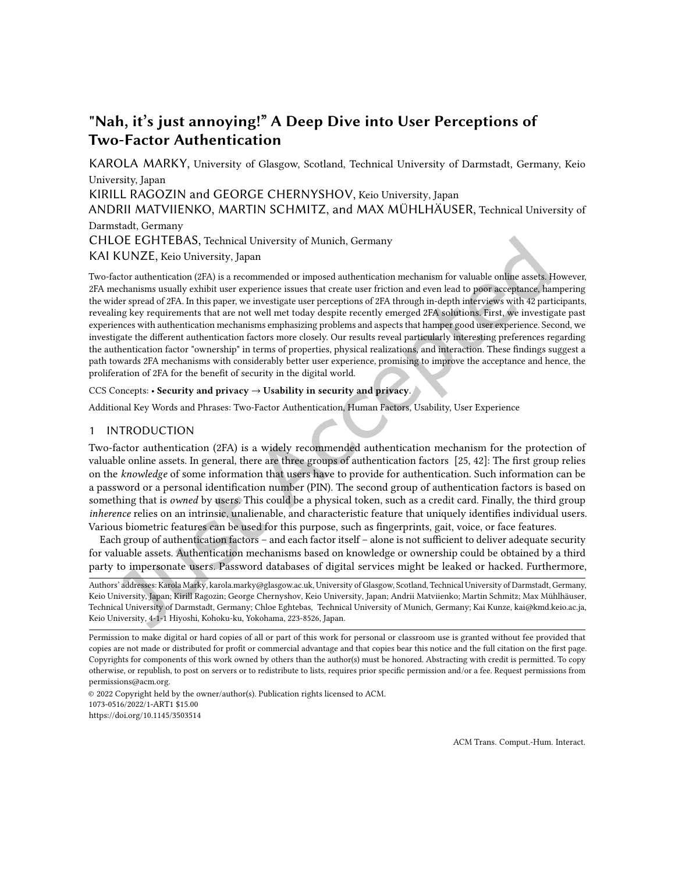# "Nah, it's just annoying!" A Deep Dive into User Perceptions of Two-Factor Authentication

[KAROLA MARKY,](HTTPS://ORCID.ORG/1234-5678-9012) University of Glasgow, Scotland, Technical University of Darmstadt, Germany, Keio University, Japan KIRILL RAGOZIN and GEORGE CHERNYSHOV, Keio University, Japan ANDRII MATVIIENKO, MARTIN SCHMITZ, and MAX MÜHLHÄUSER, Technical University of Darmstadt, Germany CHLOE EGHTEBAS, Technical University of Munich, Germany

KAI KUNZE, Keio University, Japan

Two-factor authentication (2FA) is a recommended or imposed authentication mechanism for valuable online assets. However, 2FA mechanisms usually exhibit user experience issues that create user friction and even lead to poor acceptance, hampering the wider spread of 2FA. In this paper, we investigate user perceptions of 2FA through in-depth interviews with 42 participants, revealing key requirements that are not well met today despite recently emerged 2FA solutions. First, we investigate past experiences with authentication mechanisms emphasizing problems and aspects that hamper good user experience. Second, we investigate the diferent authentication factors more closely. Our results reveal particularly interesting preferences regarding the authentication factor "ownership" in terms of properties, physical realizations, and interaction. These findings suggest a path towards 2FA mechanisms with considerably better user experience, promising to improve the acceptance and hence, the proliferation of 2FA for the benefit of security in the digital world.

## CCS Concepts: · Security and privacy → Usability in security and privacy.

Additional Key Words and Phrases: Two-Factor Authentication, Human Factors, Usability, User Experience

## 1 INTRODUCTION

Two-factor authentication (2FA) is a widely recommended authentication mechanism for the protection of valuable online assets. In general, there are three groups of authentication factors [\[25,](#page-25-0) [42\]](#page-26-0): The irst group relies on the knowledge of some information that users have to provide for authentication. Such information can be a password or a personal identification number (PIN). The second group of authentication factors is based on something that is *owned* by users. This could be a physical token, such as a credit card. Finally, the third group inherence relies on an intrinsic, unalienable, and characteristic feature that uniquely identifies individual users. Various biometric features can be used for this purpose, such as ingerprints, gait, voice, or face features.

Each group of authentication factors - and each factor itself - alone is not sufficient to deliver adequate security for valuable assets. Authentication mechanisms based on knowledge or ownership could be obtained by a third party to impersonate users. Password databases of digital services might be leaked or hacked. Furthermore,

Authors' addresses: [Karola Marky,](https://orcid.org/1234-5678-9012) karola.marky@glasgow.ac.uk, University of Glasgow, Scotland, Technical University of Darmstadt, Germany, Keio University, Japan; Kirill Ragozin; George Chernyshov, Keio University, Japan; Andrii Matviienko; Martin Schmitz; Max Mühlhäuser, Technical University of Darmstadt, Germany; Chloe Eghtebas, Technical University of Munich, Germany; Kai Kunze, kai@kmd.keio.ac.ja, Keio University, 4-1-1 Hiyoshi, Kohoku-ku, Yokohama, 223-8526, Japan.

© 2022 Copyright held by the owner/author(s). Publication rights licensed to ACM. 1073-0516/2022/1-ART1 \$15.00 <https://doi.org/10.1145/3503514>

Permission to make digital or hard copies of all or part of this work for personal or classroom use is granted without fee provided that copies are not made or distributed for proit or commercial advantage and that copies bear this notice and the full citation on the irst page. Copyrights for components of this work owned by others than the author(s) must be honored. Abstracting with credit is permitted. To copy otherwise, or republish, to post on servers or to redistribute to lists, requires prior speciic permission and/or a fee. Request permissions from permissions@acm.org.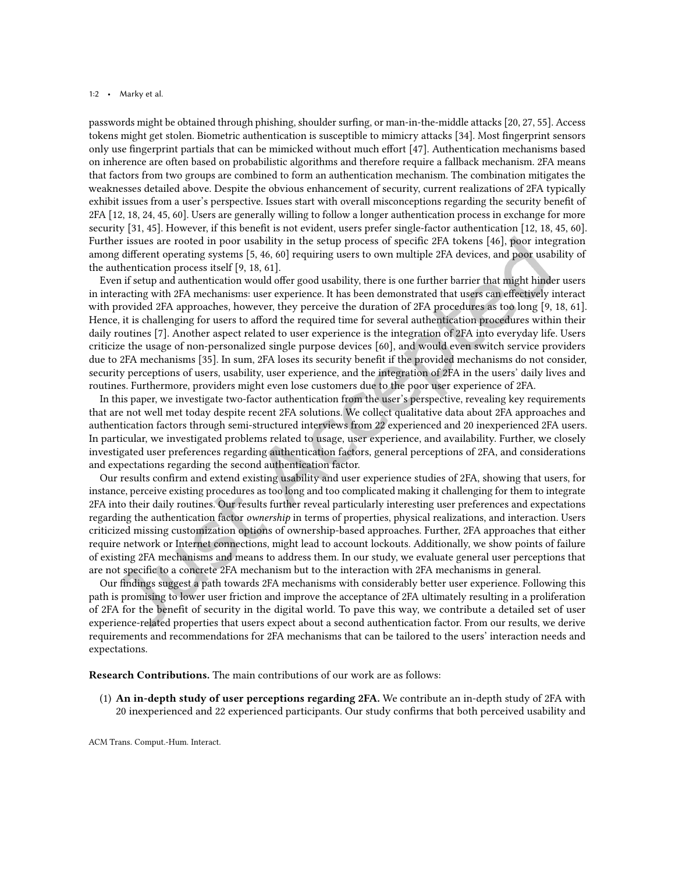#### 1:2 • Marky et al.

passwords might be obtained through phishing, shoulder suring, or man-in-the-middle attacks [\[20,](#page-25-1) [27,](#page-25-2) [55\]](#page-26-1). Access tokens might get stolen. Biometric authentication is susceptible to mimicry attacks [\[34\]](#page-25-3). Most fingerprint sensors only use ingerprint partials that can be mimicked without much efort [\[47\]](#page-26-2). Authentication mechanisms based on inherence are often based on probabilistic algorithms and therefore require a fallback mechanism. 2FA means that factors from two groups are combined to form an authentication mechanism. The combination mitigates the weaknesses detailed above. Despite the obvious enhancement of security, current realizations of 2FA typically exhibit issues from a user's perspective. Issues start with overall misconceptions regarding the security benefit of 2FA [\[12,](#page-24-0) [18,](#page-25-4) [24,](#page-25-5) [45,](#page-26-3) [60\]](#page-27-0). Users are generally willing to follow a longer authentication process in exchange for more security [\[31,](#page-25-6) [45\]](#page-26-3). However, if this benefit is not evident, users prefer single-factor authentication [\[12,](#page-24-0) [18,](#page-25-4) [45,](#page-26-3) [60\]](#page-27-0). Further issues are rooted in poor usability in the setup process of speciic 2FA tokens [\[46\]](#page-26-4), poor integration among diferent operating systems [\[5,](#page-24-1) [46,](#page-26-4) [60\]](#page-27-0) requiring users to own multiple 2FA devices, and poor usability of the authentication process itself [\[9,](#page-24-2) [18,](#page-25-4) [61\]](#page-27-1).

Even if setup and authentication would ofer good usability, there is one further barrier that might hinder users in interacting with 2FA mechanisms: user experience. It has been demonstrated that users can efectively interact with provided 2FA approaches, however, they perceive the duration of 2FA procedures as too long [\[9,](#page-24-2) [18,](#page-25-4) [61\]](#page-27-1). Hence, it is challenging for users to aford the required time for several authentication procedures within their daily routines [\[7\]](#page-24-3). Another aspect related to user experience is the integration of 2FA into everyday life. Users criticize the usage of non-personalized single purpose devices [\[60\]](#page-27-0), and would even switch service providers due to 2FA mechanisms [\[35\]](#page-25-7). In sum, 2FA loses its security benefit if the provided mechanisms do not consider, security perceptions of users, usability, user experience, and the integration of 2FA in the users' daily lives and routines. Furthermore, providers might even lose customers due to the poor user experience of 2FA.

In this paper, we investigate two-factor authentication from the user's perspective, revealing key requirements that are not well met today despite recent 2FA solutions. We collect qualitative data about 2FA approaches and authentication factors through semi-structured interviews from 22 experienced and 20 inexperienced 2FA users. In particular, we investigated problems related to usage, user experience, and availability. Further, we closely investigated user preferences regarding authentication factors, general perceptions of 2FA, and considerations and expectations regarding the second authentication factor.

Our results conirm and extend existing usability and user experience studies of 2FA, showing that users, for instance, perceive existing procedures as too long and too complicated making it challenging for them to integrate 2FA into their daily routines. Our results further reveal particularly interesting user preferences and expectations regarding the authentication factor ownership in terms of properties, physical realizations, and interaction. Users criticized missing customization options of ownership-based approaches. Further, 2FA approaches that either require network or Internet connections, might lead to account lockouts. Additionally, we show points of failure of existing 2FA mechanisms and means to address them. In our study, we evaluate general user perceptions that are not speciic to a concrete 2FA mechanism but to the interaction with 2FA mechanisms in general.

Our indings suggest a path towards 2FA mechanisms with considerably better user experience. Following this path is promising to lower user friction and improve the acceptance of 2FA ultimately resulting in a proliferation of 2FA for the beneit of security in the digital world. To pave this way, we contribute a detailed set of user experience-related properties that users expect about a second authentication factor. From our results, we derive requirements and recommendations for 2FA mechanisms that can be tailored to the users' interaction needs and expectations.

Research Contributions. The main contributions of our work are as follows:

(1) An in-depth study of user perceptions regarding 2FA. We contribute an in-depth study of 2FA with 20 inexperienced and 22 experienced participants. Our study conirms that both perceived usability and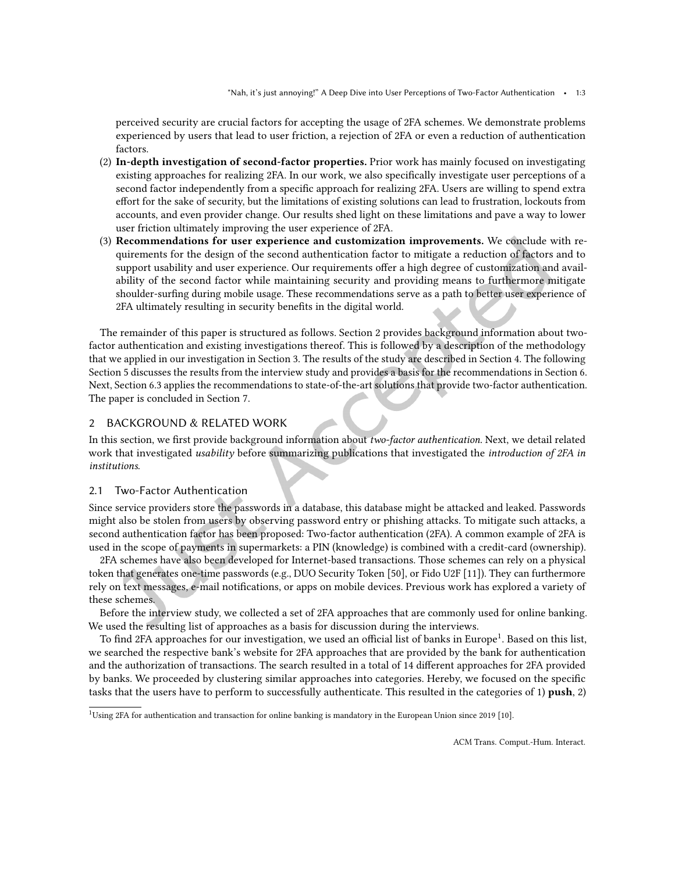perceived security are crucial factors for accepting the usage of 2FA schemes. We demonstrate problems experienced by users that lead to user friction, a rejection of 2FA or even a reduction of authentication factors.

- (2) In-depth investigation of second-factor properties. Prior work has mainly focused on investigating existing approaches for realizing 2FA. In our work, we also speciically investigate user perceptions of a second factor independently from a specific approach for realizing 2FA. Users are willing to spend extra efort for the sake of security, but the limitations of existing solutions can lead to frustration, lockouts from accounts, and even provider change. Our results shed light on these limitations and pave a way to lower user friction ultimately improving the user experience of 2FA.
- (3) Recommendations for user experience and customization improvements. We conclude with requirements for the design of the second authentication factor to mitigate a reduction of factors and to support usability and user experience. Our requirements offer a high degree of customization and availability of the second factor while maintaining security and providing means to furthermore mitigate shoulder-suring during mobile usage. These recommendations serve as a path to better user experience of 2FA ultimately resulting in security benefits in the digital world.

The remainder of this paper is structured as follows. Section [2](#page-2-0) provides background information about twofactor authentication and existing investigations thereof. This is followed by a description of the methodology that we applied in our investigation in Section [3.](#page-6-0) The results of the study are described in Section [4.](#page-9-0) The following Section [5](#page-16-0) discusses the results from the interview study and provides a basis for the recommendations in Section [6.](#page-19-0) Next, Section [6.3](#page-20-0) applies the recommendations to state-of-the-art solutions that provide two-factor authentication. The paper is concluded in Section [7.](#page-23-0)

# <span id="page-2-0"></span>2 BACKGROUND & RELATED WORK

In this section, we irst provide background information about two-factor authentication. Next, we detail related work that investigated usability before summarizing publications that investigated the introduction of 2FA in institutions.

## 2.1 Two-Factor Authentication

Since service providers store the passwords in a database, this database might be attacked and leaked. Passwords might also be stolen from users by observing password entry or phishing attacks. To mitigate such attacks, a second authentication factor has been proposed: Two-factor authentication (2FA). A common example of 2FA is used in the scope of payments in supermarkets: a PIN (knowledge) is combined with a credit-card (ownership).

2FA schemes have also been developed for Internet-based transactions. Those schemes can rely on a physical token that generates one-time passwords (e.g., DUO Security Token [\[50\]](#page-26-5), or Fido U2F [\[11\]](#page-24-4)). They can furthermore rely on text messages, e-mail notifications, or apps on mobile devices. Previous work has explored a variety of these schemes.

Before the interview study, we collected a set of 2FA approaches that are commonly used for online banking. We used the resulting list of approaches as a basis for discussion during the interviews.

To find 2FA approaches for our investigation, we used an official list of banks in Europe<sup>[1](#page-2-1)</sup>. Based on this list, we searched the respective bank's website for 2FA approaches that are provided by the bank for authentication and the authorization of transactions. The search resulted in a total of 14 diferent approaches for 2FA provided by banks. We proceeded by clustering similar approaches into categories. Hereby, we focused on the speciic tasks that the users have to perform to successfully authenticate. This resulted in the categories of 1) push, 2)

<span id="page-2-1"></span><sup>&</sup>lt;sup>1</sup>Using 2FA for authentication and transaction for online banking is mandatory in the European Union since 2019 [\[10\]](#page-24-5).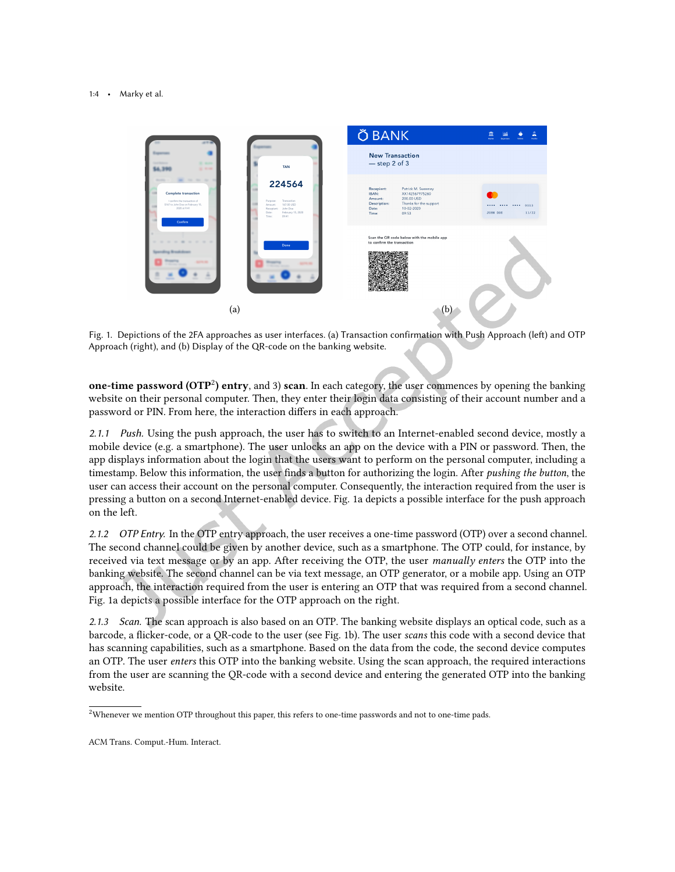<span id="page-3-1"></span>

Fig. 1. Depictions of the 2FA approaches as user interfaces. (a) Transaction confirmation with Push Approach (let) and OTP Approach (right), and (b) Display of the QR-code on the banking website.

<span id="page-3-2"></span>one-time password ( $\text{OTP}^2$  $\text{OTP}^2$ ) entry, and 3) scan. In each category, the user commences by opening the banking website on their personal computer. Then, they enter their login data consisting of their account number and a password or PIN. From here, the interaction difers in each approach.

*2.1.1 Push.* Using the push approach, the user has to switch to an Internet-enabled second device, mostly a mobile device (e.g. a smartphone). The user unlocks an app on the device with a PIN or password. Then, the app displays information about the login that the users want to perform on the personal computer, including a timestamp. Below this information, the user finds a button for authorizing the login. After *pushing the button*, the user can access their account on the personal computer. Consequently, the interaction required from the user is pressing a button on a second Internet-enabled device. Fig. [1a](#page-3-1) depicts a possible interface for the push approach on the left.

*2.1.2 OTP Entry.* In the OTP entry approach, the user receives a one-time password (OTP) over a second channel. The second channel could be given by another device, such as a smartphone. The OTP could, for instance, by received via text message or by an app. After receiving the OTP, the user *manually enters* the OTP into the banking website. The second channel can be via text message, an OTP generator, or a mobile app. Using an OTP approach, the interaction required from the user is entering an OTP that was required from a second channel. Fig. [1a](#page-3-1) depicts a possible interface for the OTP approach on the right.

*2.1.3 Scan.* The scan approach is also based on an OTP. The banking website displays an optical code, such as a barcode, a flicker-code, or a QR-code to the user (see Fig. [1b\)](#page-3-2). The user scans this code with a second device that has scanning capabilities, such as a smartphone. Based on the data from the code, the second device computes an OTP. The user enters this OTP into the banking website. Using the scan approach, the required interactions from the user are scanning the QR-code with a second device and entering the generated OTP into the banking website.

<span id="page-3-0"></span> $2$ Whenever we mention OTP throughout this paper, this refers to one-time passwords and not to one-time pads.

ACM Trans. Comput.-Hum. Interact.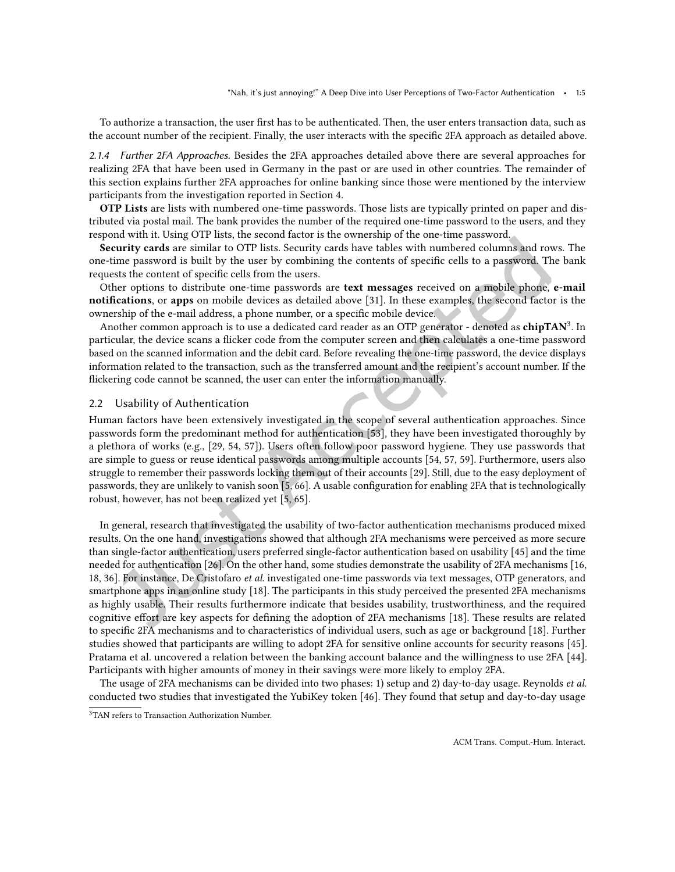To authorize a transaction, the user irst has to be authenticated. Then, the user enters transaction data, such as the account number of the recipient. Finally, the user interacts with the specific 2FA approach as detailed above.

*2.1.4 Further 2FA Approaches.* Besides the 2FA approaches detailed above there are several approaches for realizing 2FA that have been used in Germany in the past or are used in other countries. The remainder of this section explains further 2FA approaches for online banking since those were mentioned by the interview participants from the investigation reported in Section [4.](#page-9-0)

OTP Lists are lists with numbered one-time passwords. Those lists are typically printed on paper and distributed via postal mail. The bank provides the number of the required one-time password to the users, and they respond with it. Using OTP lists, the second factor is the ownership of the one-time password.

Security cards are similar to OTP lists. Security cards have tables with numbered columns and rows. The one-time password is built by the user by combining the contents of speciic cells to a password. The bank requests the content of specific cells from the users.

Other options to distribute one-time passwords are text messages received on a mobile phone, e-mail notifications, or apps on mobile devices as detailed above [\[31\]](#page-25-6). In these examples, the second factor is the ownership of the e-mail address, a phone number, or a specific mobile device.

Another common approach is to use a dedicated card reader as an OTP generator - denoted as chipTAN<sup>[3](#page-4-0)</sup>. In particular, the device scans a licker code from the computer screen and then calculates a one-time password based on the scanned information and the debit card. Before revealing the one-time password, the device displays information related to the transaction, such as the transferred amount and the recipient's account number. If the lickering code cannot be scanned, the user can enter the information manually.

#### 2.2 Usability of Authentication

Human factors have been extensively investigated in the scope of several authentication approaches. Since passwords form the predominant method for authentication [\[53\]](#page-26-6), they have been investigated thoroughly by a plethora of works (e.g., [\[29,](#page-25-8) [54,](#page-26-7) [57\]](#page-27-2)). Users often follow poor password hygiene. They use passwords that are simple to guess or reuse identical passwords among multiple accounts [\[54,](#page-26-7) [57,](#page-27-2) [59\]](#page-27-3). Furthermore, users also struggle to remember their passwords locking them out of their accounts [\[29\]](#page-25-8). Still, due to the easy deployment of passwords, they are unlikely to vanish soon [\[5,](#page-24-1) [66\]](#page-27-4). A usable coniguration for enabling 2FA that is technologically robust, however, has not been realized yet [\[5,](#page-24-1) [65\]](#page-27-5).

In general, research that investigated the usability of two-factor authentication mechanisms produced mixed results. On the one hand, investigations showed that although 2FA mechanisms were perceived as more secure than single-factor authentication, users preferred single-factor authentication based on usability [\[45\]](#page-26-3) and the time needed for authentication [\[26\]](#page-25-9). On the other hand, some studies demonstrate the usability of 2FA mechanisms [\[16,](#page-25-10) [18,](#page-25-4) [36\]](#page-26-8). For instance, De Cristofaro et al. investigated one-time passwords via text messages, OTP generators, and smartphone apps in an online study [\[18\]](#page-25-4). The participants in this study perceived the presented 2FA mechanisms as highly usable. Their results furthermore indicate that besides usability, trustworthiness, and the required cognitive efort are key aspects for deining the adoption of 2FA mechanisms [\[18\]](#page-25-4). These results are related to speciic 2FA mechanisms and to characteristics of individual users, such as age or background [\[18\]](#page-25-4). Further studies showed that participants are willing to adopt 2FA for sensitive online accounts for security reasons [\[45\]](#page-26-3). Pratama et al. uncovered a relation between the banking account balance and the willingness to use 2FA [\[44\]](#page-26-9). Participants with higher amounts of money in their savings were more likely to employ 2FA.

The usage of 2FA mechanisms can be divided into two phases: 1) setup and 2) day-to-day usage. Reynolds et al. conducted two studies that investigated the YubiKey token [\[46\]](#page-26-4). They found that setup and day-to-day usage

<span id="page-4-0"></span><sup>&</sup>lt;sup>3</sup>TAN refers to Transaction Authorization Number.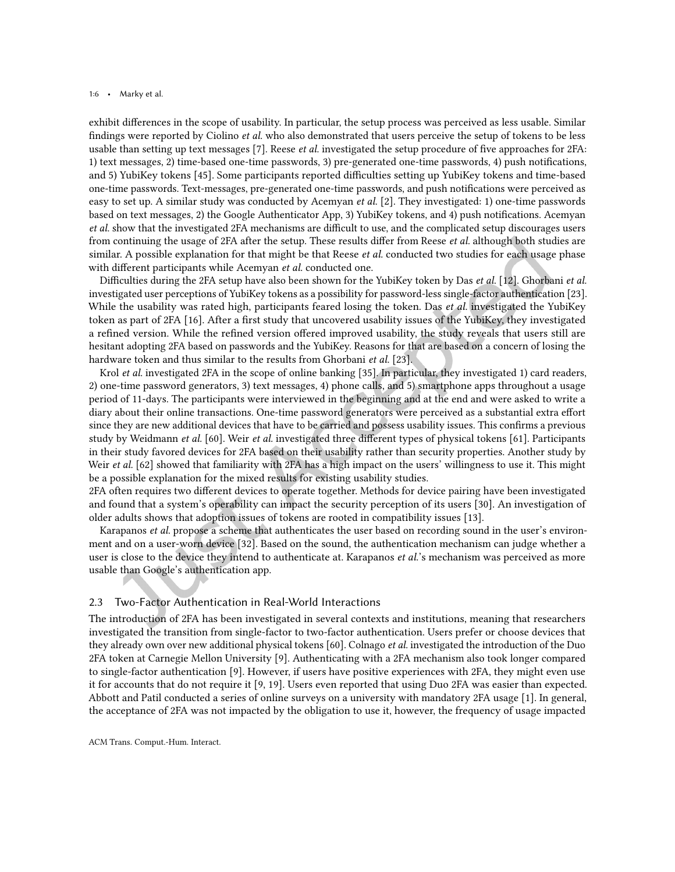#### 1:6 • Marky et al.

exhibit diferences in the scope of usability. In particular, the setup process was perceived as less usable. Similar findings were reported by Ciolino *et al.* who also demonstrated that users perceive the setup of tokens to be less usable than setting up text messages [\[7\]](#page-24-3). Reese *et al.* investigated the setup procedure of five approaches for 2FA: 1) text messages, 2) time-based one-time passwords, 3) pre-generated one-time passwords, 4) push notiications, and 5) YubiKey tokens [\[45\]](#page-26-3). Some participants reported difficulties setting up YubiKey tokens and time-based one-time passwords. Text-messages, pre-generated one-time passwords, and push notiications were perceived as easy to set up. A similar study was conducted by Acemyan et al. [\[2\]](#page-24-6). They investigated: 1) one-time passwords based on text messages, 2) the Google Authenticator App, 3) YubiKey tokens, and 4) push notiications. Acemyan et al. show that the investigated 2FA mechanisms are difficult to use, and the complicated setup discourages users from continuing the usage of 2FA after the setup. These results differ from Reese et al. although both studies are similar. A possible explanation for that might be that Reese *et al.* conducted two studies for each usage phase with different participants while Acemyan et al. conducted one.

Difficulties during the 2FA setup have also been shown for the YubiKey token by Das *et al.* [\[12\]](#page-24-0). Ghorbani *et al.* investigated user perceptions of YubiKey tokens as a possibility for password-less single-factor authentication [\[23\]](#page-25-11). While the usability was rated high, participants feared losing the token. Das *et al.* investigated the YubiKey token as part of 2FA [\[16\]](#page-25-10). After a first study that uncovered usability issues of the YubiKey, they investigated a refined version. While the refined version offered improved usability, the study reveals that users still are hesitant adopting 2FA based on passwords and the YubiKey. Reasons for that are based on a concern of losing the hardware token and thus similar to the results from Ghorbani *et al.* [\[23\]](#page-25-11).

Krol et al. investigated 2FA in the scope of online banking [\[35\]](#page-25-7). In particular, they investigated 1) card readers, 2) one-time password generators, 3) text messages, 4) phone calls, and 5) smartphone apps throughout a usage period of 11-days. The participants were interviewed in the beginning and at the end and were asked to write a diary about their online transactions. One-time password generators were perceived as a substantial extra efort since they are new additional devices that have to be carried and possess usability issues. This confirms a previous study by Weidmann et al. [\[60\]](#page-27-0). Weir et al. investigated three different types of physical tokens [\[61\]](#page-27-1). Participants in their study favored devices for 2FA based on their usability rather than security properties. Another study by Weir et al. [\[62\]](#page-27-6) showed that familiarity with 2FA has a high impact on the users' willingness to use it. This might be a possible explanation for the mixed results for existing usability studies.

2FA often requires two diferent devices to operate together. Methods for device pairing have been investigated and found that a system's operability can impact the security perception of its users [\[30\]](#page-25-12). An investigation of older adults shows that adoption issues of tokens are rooted in compatibility issues [\[13\]](#page-24-7).

Karapanos *et al.* propose a scheme that authenticates the user based on recording sound in the user's environment and on a user-worn device [\[32\]](#page-25-13). Based on the sound, the authentication mechanism can judge whether a user is close to the device they intend to authenticate at. Karapanos *et al.*'s mechanism was perceived as more usable than Google's authentication app.

## 2.3 Two-Factor Authentication in Real-World Interactions

The introduction of 2FA has been investigated in several contexts and institutions, meaning that researchers investigated the transition from single-factor to two-factor authentication. Users prefer or choose devices that they already own over new additional physical tokens [\[60\]](#page-27-0). Colnago *et al.* investigated the introduction of the Duo 2FA token at Carnegie Mellon University [\[9\]](#page-24-2). Authenticating with a 2FA mechanism also took longer compared to single-factor authentication [\[9\]](#page-24-2). However, if users have positive experiences with 2FA, they might even use it for accounts that do not require it [\[9,](#page-24-2) [19\]](#page-25-14). Users even reported that using Duo 2FA was easier than expected. Abbott and Patil conducted a series of online surveys on a university with mandatory 2FA usage [\[1\]](#page-24-8). In general, the acceptance of 2FA was not impacted by the obligation to use it, however, the frequency of usage impacted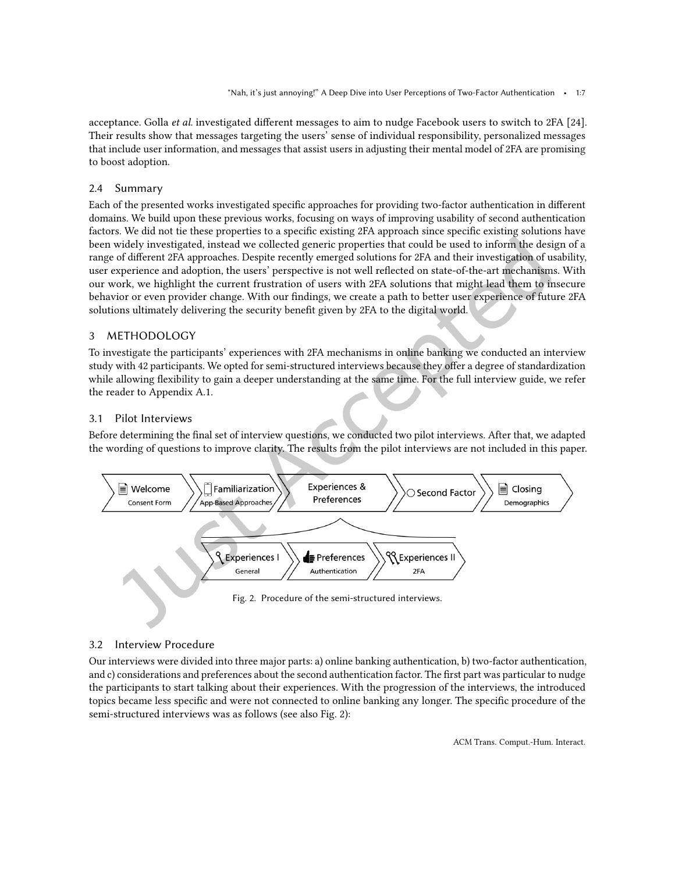acceptance. Golla et al. investigated diferent messages to aim to nudge Facebook users to switch to 2FA [\[24\]](#page-25-5). Their results show that messages targeting the users' sense of individual responsibility, personalized messages that include user information, and messages that assist users in adjusting their mental model of 2FA are promising to boost adoption.

# 2.4 Summary

Each of the presented works investigated speciic approaches for providing two-factor authentication in diferent domains. We build upon these previous works, focusing on ways of improving usability of second authentication factors. We did not tie these properties to a specific existing 2FA approach since specific existing solutions have been widely investigated, instead we collected generic properties that could be used to inform the design of a range of diferent 2FA approaches. Despite recently emerged solutions for 2FA and their investigation of usability, user experience and adoption, the users' perspective is not well relected on state-of-the-art mechanisms. With our work, we highlight the current frustration of users with 2FA solutions that might lead them to insecure behavior or even provider change. With our indings, we create a path to better user experience of future 2FA solutions ultimately delivering the security benefit given by 2FA to the digital world.

# <span id="page-6-0"></span>3 METHODOLOGY

To investigate the participants' experiences with 2FA mechanisms in online banking we conducted an interview study with 42 participants. We opted for semi-structured interviews because they ofer a degree of standardization while allowing lexibility to gain a deeper understanding at the same time. For the full interview guide, we refer the reader to Appendix [A.1.](#page-27-7)

# 3.1 Pilot Interviews

Before determining the final set of interview questions, we conducted two pilot interviews. After that, we adapted the wording of questions to improve clarity. The results from the pilot interviews are not included in this paper.

<span id="page-6-1"></span>

# 3.2 Interview Procedure

Our interviews were divided into three major parts: a) online banking authentication, b) two-factor authentication, and c) considerations and preferences about the second authentication factor. The first part was particular to nudge the participants to start talking about their experiences. With the progression of the interviews, the introduced topics became less specific and were not connected to online banking any longer. The specific procedure of the semi-structured interviews was as follows (see also Fig. [2\)](#page-6-1):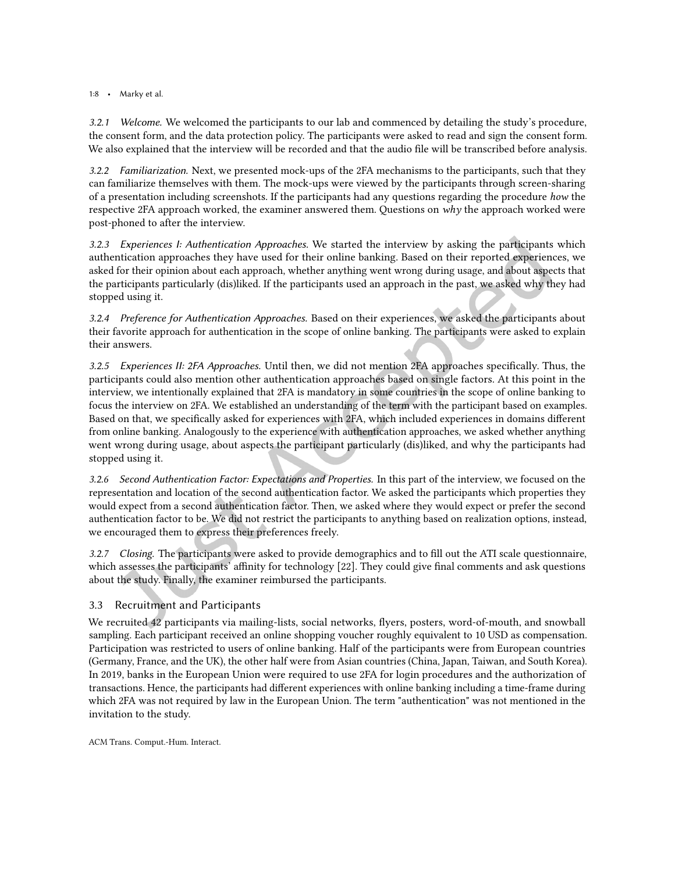## 1:8 • Marky et al.

*3.2.1 Welcome.* We welcomed the participants to our lab and commenced by detailing the study's procedure, the consent form, and the data protection policy. The participants were asked to read and sign the consent form. We also explained that the interview will be recorded and that the audio file will be transcribed before analysis.

*3.2.2 Familiarization.* Next, we presented mock-ups of the 2FA mechanisms to the participants, such that they can familiarize themselves with them. The mock-ups were viewed by the participants through screen-sharing of a presentation including screenshots. If the participants had any questions regarding the procedure how the respective 2FA approach worked, the examiner answered them. Questions on why the approach worked were post-phoned to after the interview.

*3.2.3 Experiences I: Authentication Approaches.* We started the interview by asking the participants which authentication approaches they have used for their online banking. Based on their reported experiences, we asked for their opinion about each approach, whether anything went wrong during usage, and about aspects that the participants particularly (dis)liked. If the participants used an approach in the past, we asked why they had stopped using it.

*3.2.4 Preference for Authentication Approaches.* Based on their experiences, we asked the participants about their favorite approach for authentication in the scope of online banking. The participants were asked to explain their answers.

*3.2.5 Experiences II: 2FA Approaches.* Until then, we did not mention 2FA approaches speciically. Thus, the participants could also mention other authentication approaches based on single factors. At this point in the interview, we intentionally explained that 2FA is mandatory in some countries in the scope of online banking to focus the interview on 2FA. We established an understanding of the term with the participant based on examples. Based on that, we specifically asked for experiences with 2FA, which included experiences in domains different from online banking. Analogously to the experience with authentication approaches, we asked whether anything went wrong during usage, about aspects the participant particularly (dis)liked, and why the participants had stopped using it.

*3.2.6 Second Authentication Factor: Expectations and Properties.* In this part of the interview, we focused on the representation and location of the second authentication factor. We asked the participants which properties they would expect from a second authentication factor. Then, we asked where they would expect or prefer the second authentication factor to be. We did not restrict the participants to anything based on realization options, instead, we encouraged them to express their preferences freely.

*3.2.7 Closing.* The participants were asked to provide demographics and to ill out the ATI scale questionnaire, which assesses the participants' affinity for technology [\[22\]](#page-25-15). They could give final comments and ask questions about the study. Finally, the examiner reimbursed the participants.

# 3.3 Recruitment and Participants

We recruited 42 participants via mailing-lists, social networks, flyers, posters, word-of-mouth, and snowball sampling. Each participant received an online shopping voucher roughly equivalent to 10 USD as compensation. Participation was restricted to users of online banking. Half of the participants were from European countries (Germany, France, and the UK), the other half were from Asian countries (China, Japan, Taiwan, and South Korea). In 2019, banks in the European Union were required to use 2FA for login procedures and the authorization of transactions. Hence, the participants had diferent experiences with online banking including a time-frame during which 2FA was not required by law in the European Union. The term "authentication" was not mentioned in the invitation to the study.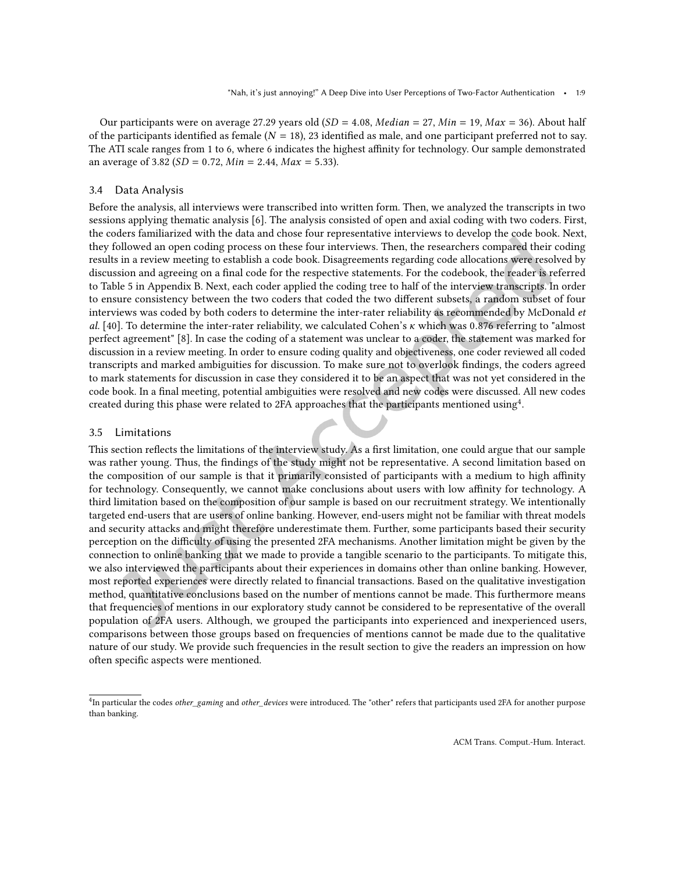Our participants were on average 27.29 years old (SD = 4.08, Median = 27, Min = 19, Max = 36). About half of the participants identified as female ( $N = 18$ ), 23 identified as male, and one participant preferred not to say. The ATI scale ranges from 1 to 6, where 6 indicates the highest affinity for technology. Our sample demonstrated an average of 3.82 ( $SD = 0.72$ ,  $Min = 2.44$ ,  $Max = 5.33$ ).

#### 3.4 Data Analysis

Before the analysis, all interviews were transcribed into written form. Then, we analyzed the transcripts in two sessions applying thematic analysis [\[6\]](#page-24-9). The analysis consisted of open and axial coding with two coders. First, the coders familiarized with the data and chose four representative interviews to develop the code book. Next, they followed an open coding process on these four interviews. Then, the researchers compared their coding results in a review meeting to establish a code book. Disagreements regarding code allocations were resolved by discussion and agreeing on a inal code for the respective statements. For the codebook, the reader is referred to Table [5](#page-31-0) in Appendix [B.](#page-30-0) Next, each coder applied the coding tree to half of the interview transcripts. In order to ensure consistency between the two coders that coded the two diferent subsets, a random subset of four interviews was coded by both coders to determine the inter-rater reliability as recommended by McDonald et al. [\[40\]](#page-26-10). To determine the inter-rater reliability, we calculated Cohen's  $\kappa$  which was 0.876 referring to "almost" perfect agreement" [\[8\]](#page-24-10). In case the coding of a statement was unclear to a coder, the statement was marked for discussion in a review meeting. In order to ensure coding quality and objectiveness, one coder reviewed all coded transcripts and marked ambiguities for discussion. To make sure not to overlook indings, the coders agreed to mark statements for discussion in case they considered it to be an aspect that was not yet considered in the code book. In a final meeting, potential ambiguities were resolved and new codes were discussed. All new codes created during this phase were related to 2FA approaches that the participants mentioned using<sup>[4](#page-8-0)</sup>.

#### 3.5 Limitations

This section reflects the limitations of the interview study. As a first limitation, one could argue that our sample was rather young. Thus, the indings of the study might not be representative. A second limitation based on the composition of our sample is that it primarily consisted of participants with a medium to high affinity for technology. Consequently, we cannot make conclusions about users with low affinity for technology. A third limitation based on the composition of our sample is based on our recruitment strategy. We intentionally targeted end-users that are users of online banking. However, end-users might not be familiar with threat models and security attacks and might therefore underestimate them. Further, some participants based their security perception on the difficulty of using the presented 2FA mechanisms. Another limitation might be given by the connection to online banking that we made to provide a tangible scenario to the participants. To mitigate this, we also interviewed the participants about their experiences in domains other than online banking. However, most reported experiences were directly related to inancial transactions. Based on the qualitative investigation method, quantitative conclusions based on the number of mentions cannot be made. This furthermore means that frequencies of mentions in our exploratory study cannot be considered to be representative of the overall population of 2FA users. Although, we grouped the participants into experienced and inexperienced users, comparisons between those groups based on frequencies of mentions cannot be made due to the qualitative nature of our study. We provide such frequencies in the result section to give the readers an impression on how often specific aspects were mentioned.

<span id="page-8-0"></span><sup>&</sup>lt;sup>4</sup>In particular the codes other\_gaming and other\_devices were introduced. The "other" refers that participants used 2FA for another purpose than banking.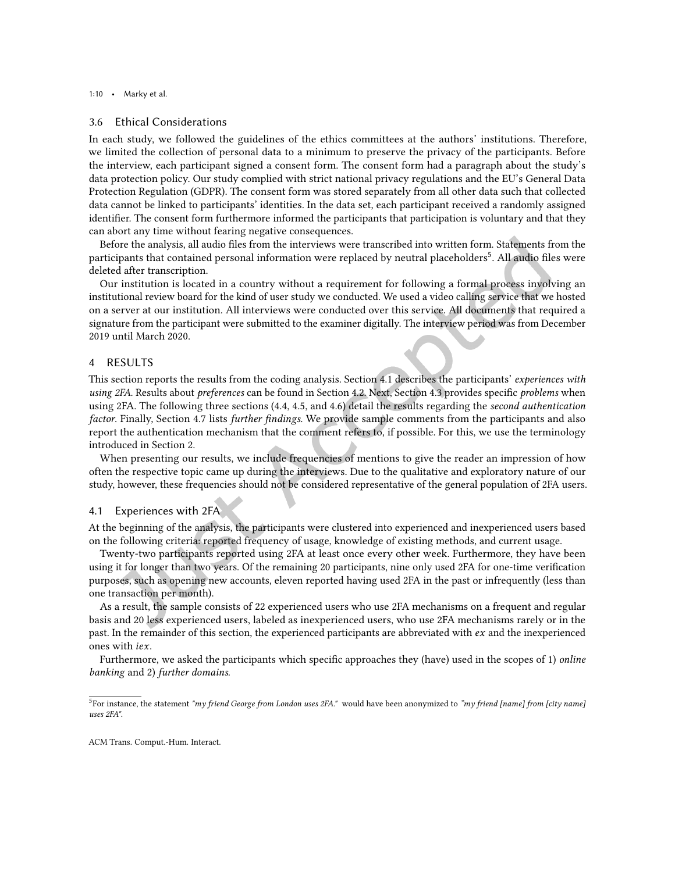#### 3.6 Ethical Considerations

In each study, we followed the guidelines of the ethics committees at the authors' institutions. Therefore, we limited the collection of personal data to a minimum to preserve the privacy of the participants. Before the interview, each participant signed a consent form. The consent form had a paragraph about the study's data protection policy. Our study complied with strict national privacy regulations and the EU's General Data Protection Regulation (GDPR). The consent form was stored separately from all other data such that collected data cannot be linked to participants' identities. In the data set, each participant received a randomly assigned identifier. The consent form furthermore informed the participants that participation is voluntary and that they can abort any time without fearing negative consequences.

Before the analysis, all audio files from the interviews were transcribed into written form. Statements from the participants that contained personal information were replaced by neutral placeholders<sup>[5](#page-9-1)</sup>. All audio files were deleted after transcription.

Our institution is located in a country without a requirement for following a formal process involving an institutional review board for the kind of user study we conducted. We used a video calling service that we hosted on a server at our institution. All interviews were conducted over this service. All documents that required a signature from the participant were submitted to the examiner digitally. The interview period was from December 2019 until March 2020.

# <span id="page-9-0"></span>4 RESULTS

This section reports the results from the coding analysis. Section [4.1](#page-9-2) describes the participants' experiences with using 2FA. Results about preferences can be found in Section [4.2.](#page-10-0) Next, Section [4.3](#page-11-0) provides specific problems when using 2FA. The following three sections [\(4.4,](#page-12-0) [4.5,](#page-14-0) and [4.6\)](#page-14-1) detail the results regarding the second authentication factor. Finally, Section [4.7](#page-16-1) lists further findings. We provide sample comments from the participants and also report the authentication mechanism that the comment refers to, if possible. For this, we use the terminology introduced in Section [2.](#page-2-0)

When presenting our results, we include frequencies of mentions to give the reader an impression of how often the respective topic came up during the interviews. Due to the qualitative and exploratory nature of our study, however, these frequencies should not be considered representative of the general population of 2FA users.

# <span id="page-9-2"></span>4.1 Experiences with 2FA

At the beginning of the analysis, the participants were clustered into experienced and inexperienced users based on the following criteria: reported frequency of usage, knowledge of existing methods, and current usage.

Twenty-two participants reported using 2FA at least once every other week. Furthermore, they have been using it for longer than two years. Of the remaining 20 participants, nine only used 2FA for one-time verification purposes, such as opening new accounts, eleven reported having used 2FA in the past or infrequently (less than one transaction per month).

As a result, the sample consists of 22 experienced users who use 2FA mechanisms on a frequent and regular basis and 20 less experienced users, labeled as inexperienced users, who use 2FA mechanisms rarely or in the past. In the remainder of this section, the experienced participants are abbreviated with ex and the inexperienced ones with iex.

Furthermore, we asked the participants which specific approaches they (have) used in the scopes of 1) online banking and 2) further domains.

<span id="page-9-1"></span><sup>&</sup>lt;sup>5</sup>For instance, the statement "my friend George from London uses 2FA." would have been anonymized to "my friend [name] from [city name] uses 2FA".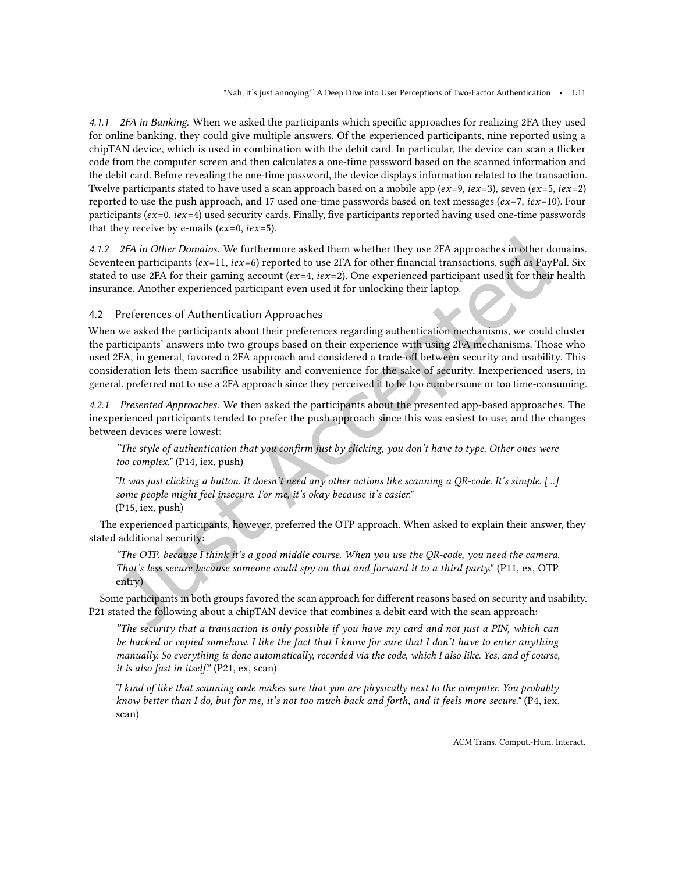*4.1.1 2FA in Banking.* When we asked the participants which speciic approaches for realizing 2FA they used for online banking, they could give multiple answers. Of the experienced participants, nine reported using a chipTAN device, which is used in combination with the debit card. In particular, the device can scan a licker code from the computer screen and then calculates a one-time password based on the scanned information and the debit card. Before revealing the one-time password, the device displays information related to the transaction. Twelve participants stated to have used a scan approach based on a mobile app ( $ex=9$ ,  $ex=3$ ), seven ( $ex=5$ ,  $ex=2$ ) reported to use the push approach, and 17 used one-time passwords based on text messages ( $ex=7$ ,  $iex=10$ ). Four participants ( $ex=0$ ,  $ex=4$ ) used security cards. Finally, five participants reported having used one-time passwords that they receive by e-mails ( $ex=0$ ,  $iex=5$ ).

*4.1.2 2FA in Other Domains.* We furthermore asked them whether they use 2FA approaches in other domains. Seventeen participants ( $ex=11$ ,  $iex=6$ ) reported to use 2FA for other financial transactions, such as PayPal. Six stated to use 2FA for their gaming account  $(ex=4, ix=2)$ . One experienced participant used it for their health insurance. Another experienced participant even used it for unlocking their laptop.

<span id="page-10-0"></span>4.2 Preferences of Authentication Approaches

When we asked the participants about their preferences regarding authentication mechanisms, we could cluster the participants' answers into two groups based on their experience with using 2FA mechanisms. Those who used 2FA, in general, favored a 2FA approach and considered a trade-of between security and usability. This consideration lets them sacriice usability and convenience for the sake of security. Inexperienced users, in general, preferred not to use a 2FA approach since they perceived it to be too cumbersome or too time-consuming.

*4.2.1 Presented Approaches.* We then asked the participants about the presented app-based approaches. The inexperienced participants tended to prefer the push approach since this was easiest to use, and the changes between devices were lowest:

The style of authentication that you confirm just by clicking, you don't have to type. Other ones were" too complex." (P14, iex, push)

žIt was just clicking a button. It doesn't need any other actions like scanning a QR-code. It's simple. [...] some people might feel insecure. For me, it's okay because it's easier." (P15, iex, push)

The experienced participants, however, preferred the OTP approach. When asked to explain their answer, they stated additional security:

"The OTP, because I think it's a good middle course. When you use the OR-code, you need the camera. That's less secure because someone could spy on that and forward it to a third party." (P11, ex, OTP entry)

Some participants in both groups favored the scan approach for diferent reasons based on security and usability. P21 stated the following about a chipTAN device that combines a debit card with the scan approach:

"The security that a transaction is only possible if you have my card and not just a PIN, which can be hacked or copied somehow. I like the fact that I know for sure that I don't have to enter anything manually. So everything is done automatically, recorded via the code, which I also like. Yes, and of course, it is also fast in itself." (P21, ex, scan)

žI kind of like that scanning code makes sure that you are physically next to the computer. You probably know better than I do, but for me, it's not too much back and forth, and it feels more secure." (P4, iex, scan)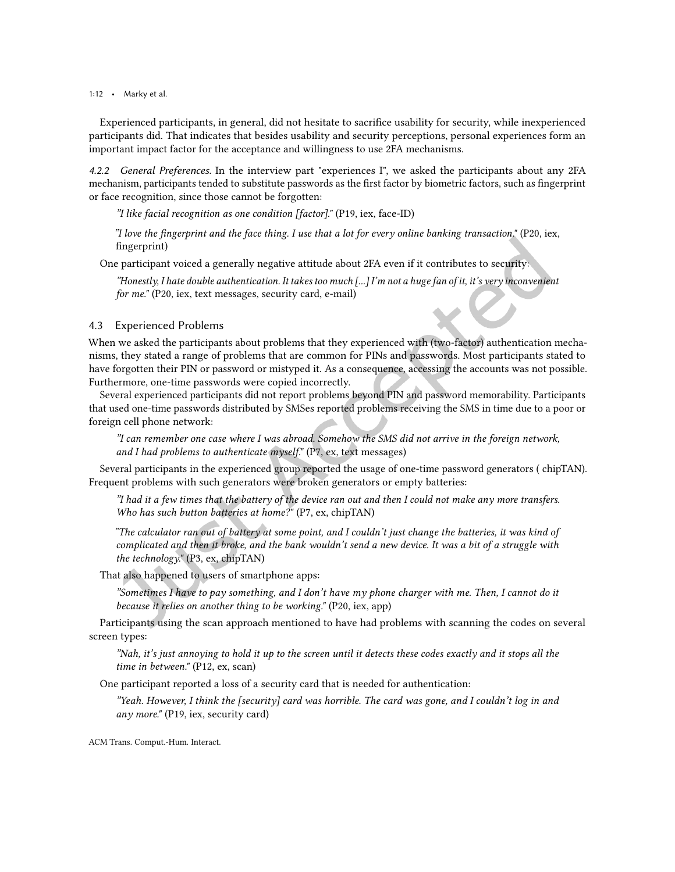1:12 • Marky et al.

Experienced participants, in general, did not hesitate to sacriice usability for security, while inexperienced participants did. That indicates that besides usability and security perceptions, personal experiences form an important impact factor for the acceptance and willingness to use 2FA mechanisms.

*4.2.2 General Preferences.* In the interview part "experiences I", we asked the participants about any 2FA mechanism, participants tended to substitute passwords as the first factor by biometric factors, such as fingerprint or face recognition, since those cannot be forgotten:

žI like facial recognition as one condition [factor]." (P19, iex, face-ID)

žI love the ingerprint and the face thing. I use that a lot for every online banking transaction." (P20, iex, fingerprint)

One participant voiced a generally negative attitude about 2FA even if it contributes to security:

žHonestly, I hate double authentication. It takes too much [...] I'm not a huge fan of it, it's very inconvenient for me." (P20, iex, text messages, security card, e-mail)

# <span id="page-11-0"></span>4.3 Experienced Problems

When we asked the participants about problems that they experienced with (two-factor) authentication mechanisms, they stated a range of problems that are common for PINs and passwords. Most participants stated to have forgotten their PIN or password or mistyped it. As a consequence, accessing the accounts was not possible. Furthermore, one-time passwords were copied incorrectly.

Several experienced participants did not report problems beyond PIN and password memorability. Participants that used one-time passwords distributed by SMSes reported problems receiving the SMS in time due to a poor or foreign cell phone network:

žI can remember one case where I was abroad. Somehow the SMS did not arrive in the foreign network, and I had problems to authenticate myself." (P7, ex, text messages)

Several participants in the experienced group reported the usage of one-time password generators ( chipTAN). Frequent problems with such generators were broken generators or empty batteries:

žI had it a few times that the battery of the device ran out and then I could not make any more transfers. Who has such button batteries at home?" (P7, ex, chipTAN)

žThe calculator ran out of battery at some point, and I couldn't just change the batteries, it was kind of complicated and then it broke, and the bank wouldn't send a new device. It was a bit of a struggle with the technology." (P3, ex, chipTAN)

That also happened to users of smartphone apps:

žSometimes I have to pay something, and I don't have my phone charger with me. Then, I cannot do it because it relies on another thing to be working." (P20, iex, app)

Participants using the scan approach mentioned to have had problems with scanning the codes on several screen types:

žNah, it's just annoying to hold it up to the screen until it detects these codes exactly and it stops all the time in between." (P12, ex, scan)

One participant reported a loss of a security card that is needed for authentication:

žYeah. However, I think the [security] card was horrible. The card was gone, and I couldn't log in and any more." (P19, iex, security card)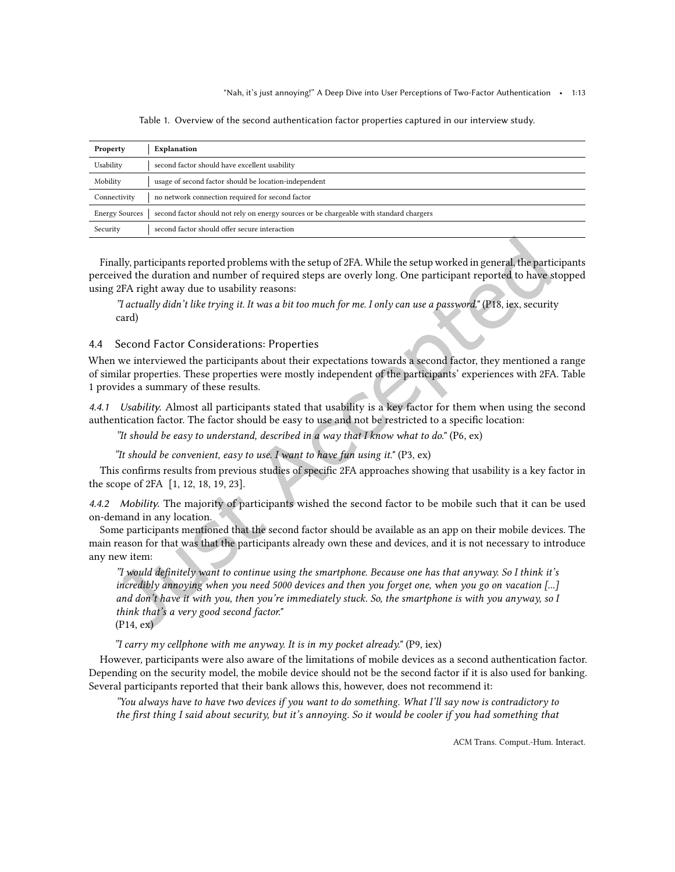<span id="page-12-1"></span>

| Property                                                                                                         | Explanation                                           |  |  |  |  |
|------------------------------------------------------------------------------------------------------------------|-------------------------------------------------------|--|--|--|--|
| Usability                                                                                                        | second factor should have excellent usability         |  |  |  |  |
| Mobility                                                                                                         | usage of second factor should be location-independent |  |  |  |  |
| Connectivity                                                                                                     | no network connection required for second factor      |  |  |  |  |
| second factor should not rely on energy sources or be chargeable with standard chargers<br><b>Energy Sources</b> |                                                       |  |  |  |  |
| Security                                                                                                         | second factor should offer secure interaction         |  |  |  |  |

Table 1. Overview of the second authentication factor properties captured in our interview study.

Finally, participants reported problems with the setup of 2FA. While the setup worked in general, the participants perceived the duration and number of required steps are overly long. One participant reported to have stopped using 2FA right away due to usability reasons:

žI actually didn't like trying it. It was a bit too much for me. I only can use a password." (P18, iex, security card)

# <span id="page-12-0"></span>4.4 Second Factor Considerations: Properties

When we interviewed the participants about their expectations towards a second factor, they mentioned a range of similar properties. These properties were mostly independent of the participants' experiences with 2FA. Table [1](#page-12-1) provides a summary of these results.

*4.4.1 Usability.* Almost all participants stated that usability is a key factor for them when using the second authentication factor. The factor should be easy to use and not be restricted to a speciic location:

"It should be easy to understand, described in a way that I know what to do." (P6, ex)

"It should be convenient, easy to use. I want to have fun using it."  $(P3, ex)$ 

This confirms results from previous studies of specific 2FA approaches showing that usability is a key factor in the scope of 2FA [\[1,](#page-24-8) [12,](#page-24-0) [18,](#page-25-4) [19,](#page-25-14) [23\]](#page-25-11).

*4.4.2 Mobility.* The majority of participants wished the second factor to be mobile such that it can be used on-demand in any location.

Some participants mentioned that the second factor should be available as an app on their mobile devices. The main reason for that was that the participants already own these and devices, and it is not necessary to introduce any new item:

 $\dddot{\textbf{z}}$  would definitely want to continue using the smartphone. Because one has that anyway. So I think it's incredibly annoying when you need 5000 devices and then you forget one, when you go on vacation [...] and don't have it with you, then you're immediately stuck. So, the smartphone is with you anyway, so I think that's a very good second factor."

(P14, ex)

"I carry my cellphone with me anyway. It is in my pocket already." (P9, iex)

However, participants were also aware of the limitations of mobile devices as a second authentication factor. Depending on the security model, the mobile device should not be the second factor if it is also used for banking. Several participants reported that their bank allows this, however, does not recommend it:

žYou always have to have two devices if you want to do something. What I'll say now is contradictory to the first thing I said about security, but it's annoying. So it would be cooler if you had something that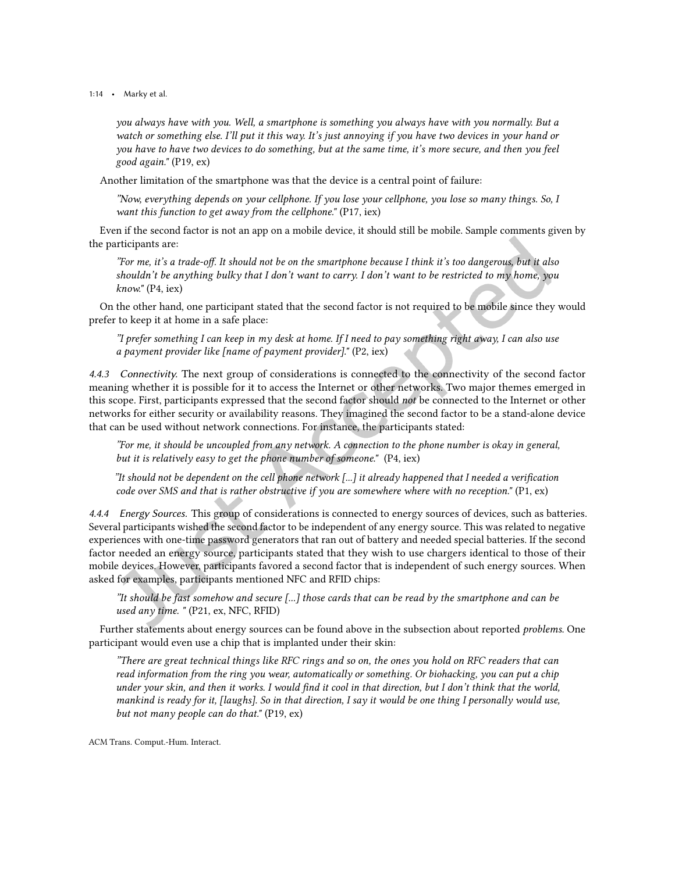1:14 • Marky et al.

you always have with you. Well, a smartphone is something you always have with you normally. But a watch or something else. I'll put it this way. It's just annoying if you have two devices in your hand or you have to have two devices to do something, but at the same time, it's more secure, and then you feel good again." (P19, ex)

Another limitation of the smartphone was that the device is a central point of failure:

žNow, everything depends on your cellphone. If you lose your cellphone, you lose so many things. So, I want this function to get away from the cellphone." (P17, iex)

Even if the second factor is not an app on a mobile device, it should still be mobile. Sample comments given by the participants are:

žFor me, it's a trade-of. It should not be on the smartphone because I think it's too dangerous, but it also shouldn't be anything bulky that I don't want to carry. I don't want to be restricted to my home, you know." (P4, iex)

On the other hand, one participant stated that the second factor is not required to be mobile since they would prefer to keep it at home in a safe place:

žI prefer something I can keep in my desk at home. If I need to pay something right away, I can also use a payment provider like [name of payment provider]." (P2, iex)

*4.4.3 Connectivity.* The next group of considerations is connected to the connectivity of the second factor meaning whether it is possible for it to access the Internet or other networks. Two major themes emerged in this scope. First, participants expressed that the second factor should not be connected to the Internet or other networks for either security or availability reasons. They imagined the second factor to be a stand-alone device that can be used without network connections. For instance, the participants stated:

žFor me, it should be uncoupled from any network. A connection to the phone number is okay in general, but it is relatively easy to get the phone number of someone." (P4, iex)

"It should not be dependent on the cell phone network  $\left[\ldots\right]$  it already happened that I needed a verification code over SMS and that is rather obstructive if you are somewhere where with no reception." (P1, ex)

*4.4.4 Energy Sources.* This group of considerations is connected to energy sources of devices, such as batteries. Several participants wished the second factor to be independent of any energy source. This was related to negative experiences with one-time password generators that ran out of battery and needed special batteries. If the second factor needed an energy source, participants stated that they wish to use chargers identical to those of their mobile devices. However, participants favored a second factor that is independent of such energy sources. When asked for examples, participants mentioned NFC and RFID chips:

žIt should be fast somehow and secure [...] those cards that can be read by the smartphone and can be used any time. " (P21, ex, NFC, RFID)

Further statements about energy sources can be found above in the subsection about reported problems. One participant would even use a chip that is implanted under their skin:

žThere are great technical things like RFC rings and so on, the ones you hold on RFC readers that can read information from the ring you wear, automatically or something. Or biohacking, you can put a chip under your skin, and then it works. I would find it cool in that direction, but I don't think that the world, mankind is ready for it, [laughs]. So in that direction, I say it would be one thing I personally would use, but not many people can do that." (P19, ex)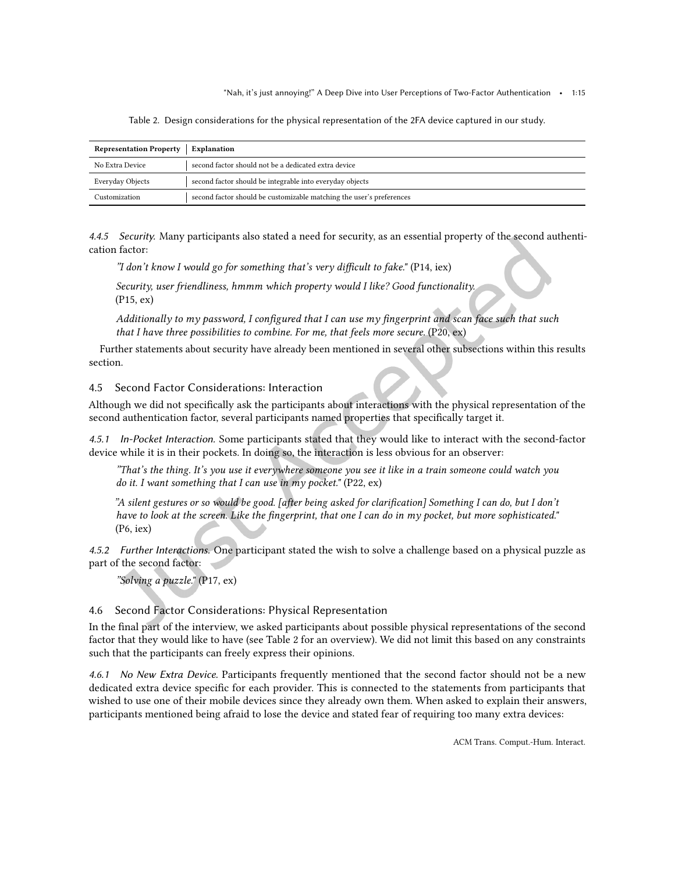Table 2. Design considerations for the physical representation of the 2FA device captured in our study.

<span id="page-14-2"></span>

| <b>Representation Property</b> | Explanation                                                          |
|--------------------------------|----------------------------------------------------------------------|
| No Extra Device                | second factor should not be a dedicated extra device                 |
| Everyday Objects               | second factor should be integrable into everyday objects             |
| Customization                  | second factor should be customizable matching the user's preferences |

*4.4.5 Security.* Many participants also stated a need for security, as an essential property of the second authentication factor:

"I don't know I would go for something that's very difficult to fake." (P14, iex)

Security, user friendliness, hmmm which property would I like? Good functionality. (P15, ex)

Additionally to my password, I configured that I can use my fingerprint and scan face such that such that I have three possibilities to combine. For me, that feels more secure.  $(P20, ex)$ 

Further statements about security have already been mentioned in several other subsections within this results section.

<span id="page-14-0"></span>4.5 Second Factor Considerations: Interaction

Although we did not specifically ask the participants about interactions with the physical representation of the second authentication factor, several participants named properties that speciically target it.

*4.5.1 In-Pocket Interaction.* Some participants stated that they would like to interact with the second-factor device while it is in their pockets. In doing so, the interaction is less obvious for an observer:

žThat's the thing. It's you use it everywhere someone you see it like in a train someone could watch you do it. I want something that I can use in  $m\gamma$  pocket." (P22, ex)

žA silent gestures or so would be good. [after being asked for clariication] Something I can do, but I don't have to look at the screen. Like the fingerprint, that one I can do in  $m\gamma$  pocket, but more sophisticated." (P6, iex)

*4.5.2 Further Interactions.* One participant stated the wish to solve a challenge based on a physical puzzle as part of the second factor:

"Solving a puzzle." (P17, ex)

# <span id="page-14-1"></span>4.6 Second Factor Considerations: Physical Representation

In the inal part of the interview, we asked participants about possible physical representations of the second factor that they would like to have (see Table [2](#page-14-2) for an overview). We did not limit this based on any constraints such that the participants can freely express their opinions.

*4.6.1 No New Extra Device.* Participants frequently mentioned that the second factor should not be a new dedicated extra device specific for each provider. This is connected to the statements from participants that wished to use one of their mobile devices since they already own them. When asked to explain their answers, participants mentioned being afraid to lose the device and stated fear of requiring too many extra devices: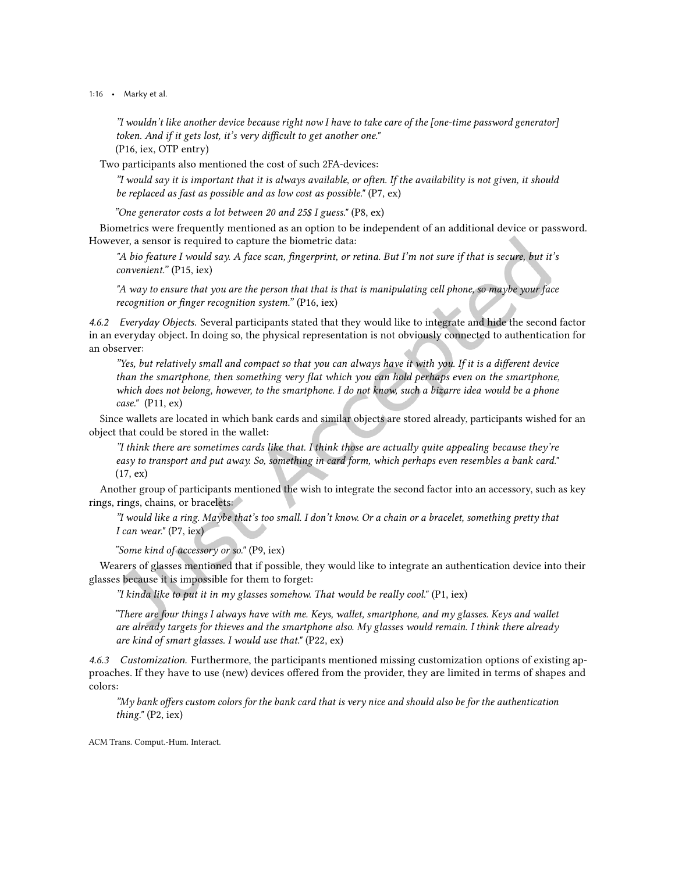1:16 • Marky et al.

žI wouldn't like another device because right now I have to take care of the [one-time password generator] token. And if it gets lost, it's very difficult to get another one." (P16, iex, OTP entry)

Two participants also mentioned the cost of such 2FA-devices:

žI would say it is important that it is always available, or often. If the availability is not given, it should be replaced as fast as possible and as low cost as possible." (P7, ex)

žOne generator costs a lot between 20 and 25\$ I guess." (P8, ex)

Biometrics were frequently mentioned as an option to be independent of an additional device or password. However, a sensor is required to capture the biometric data:

"A bio feature I would say. A face scan, fingerprint, or retina. But I'm not sure if that is secure, but it's convenient." (P15, iex)

"A way to ensure that you are the person that that is that is manipulating cell phone, so maybe your face recognition or finger recognition system."  $(P16, iex)$ 

*4.6.2 Everyday Objects.* Several participants stated that they would like to integrate and hide the second factor in an everyday object. In doing so, the physical representation is not obviously connected to authentication for an observer:

žYes, but relatively small and compact so that you can always have it with you. If it is a diferent device than the smartphone, then something very lat which you can hold perhaps even on the smartphone, which does not belong, however, to the smartphone. I do not know, such a bizarre idea would be a phone case." (P11, ex)

Since wallets are located in which bank cards and similar objects are stored already, participants wished for an object that could be stored in the wallet:

žI think there are sometimes cards like that. I think those are actually quite appealing because they're easy to transport and put away. So, something in card form, which perhaps even resembles a bank card." (17, ex)

Another group of participants mentioned the wish to integrate the second factor into an accessory, such as key rings, rings, chains, or bracelets:

žI would like a ring. Maybe that's too small. I don't know. Or a chain or a bracelet, something pretty that I can wear." (P7, iex)

"Some kind of accessory or so." (P9, iex)

Wearers of glasses mentioned that if possible, they would like to integrate an authentication device into their glasses because it is impossible for them to forget:

"I kinda like to put it in my glasses somehow. That would be really cool."  $(P1, iex)$ 

žThere are four things I always have with me. Keys, wallet, smartphone, and my glasses. Keys and wallet are already targets for thieves and the smartphone also. My glasses would remain. I think there already are kind of smart glasses. I would use that." (P22, ex)

*4.6.3 Customization.* Furthermore, the participants mentioned missing customization options of existing approaches. If they have to use (new) devices ofered from the provider, they are limited in terms of shapes and colors:

žMy bank ofers custom colors for the bank card that is very nice and should also be for the authentication thing." (P2, iex)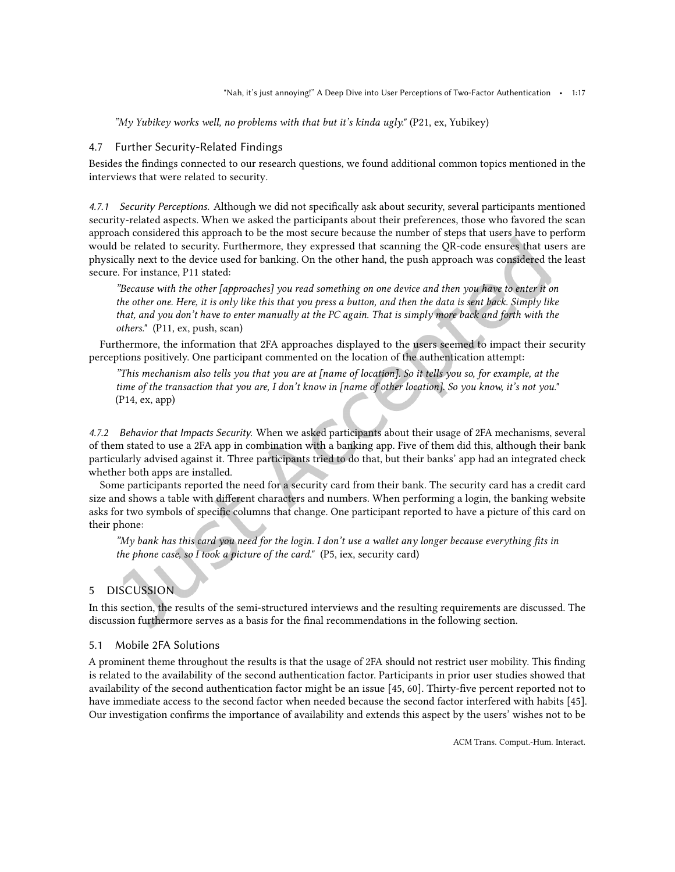žMy Yubikey works well, no problems with that but it's kinda ugly." (P21, ex, Yubikey)

## <span id="page-16-1"></span>4.7 Further Security-Related Findings

Besides the indings connected to our research questions, we found additional common topics mentioned in the interviews that were related to security.

*4.7.1 Security Perceptions.* Although we did not specifically ask about security, several participants mentioned security-related aspects. When we asked the participants about their preferences, those who favored the scan approach considered this approach to be the most secure because the number of steps that users have to perform would be related to security. Furthermore, they expressed that scanning the QR-code ensures that users are physically next to the device used for banking. On the other hand, the push approach was considered the least secure. For instance, P11 stated:

žBecause with the other [approaches] you read something on one device and then you have to enter it on the other one. Here, it is only like this that you press a button, and then the data is sent back. Simply like that, and you don't have to enter manually at the PC again. That is simply more back and forth with the others." (P11, ex, push, scan)

Furthermore, the information that 2FA approaches displayed to the users seemed to impact their security perceptions positively. One participant commented on the location of the authentication attempt:

žThis mechanism also tells you that you are at [name of location]. So it tells you so, for example, at the time of the transaction that you are, I don't know in [name of other location]. So you know, it's not you." (P14, ex, app)

*4.7.2 Behavior that Impacts Security.* When we asked participants about their usage of 2FA mechanisms, several of them stated to use a 2FA app in combination with a banking app. Five of them did this, although their bank particularly advised against it. Three participants tried to do that, but their banks' app had an integrated check whether both apps are installed.

Some participants reported the need for a security card from their bank. The security card has a credit card size and shows a table with diferent characters and numbers. When performing a login, the banking website asks for two symbols of specific columns that change. One participant reported to have a picture of this card on their phone:

žMy bank has this card you need for the login. I don't use a wallet any longer because everything its in the phone case, so I took a picture of the card." (P5, iex, security card)

# <span id="page-16-0"></span>5 DISCUSSION

In this section, the results of the semi-structured interviews and the resulting requirements are discussed. The discussion furthermore serves as a basis for the final recommendations in the following section.

## 5.1 Mobile 2FA Solutions

A prominent theme throughout the results is that the usage of 2FA should not restrict user mobility. This inding is related to the availability of the second authentication factor. Participants in prior user studies showed that availability of the second authentication factor might be an issue [\[45,](#page-26-3) [60\]](#page-27-0). Thirty-ive percent reported not to have immediate access to the second factor when needed because the second factor interfered with habits [\[45\]](#page-26-3). Our investigation conirms the importance of availability and extends this aspect by the users' wishes not to be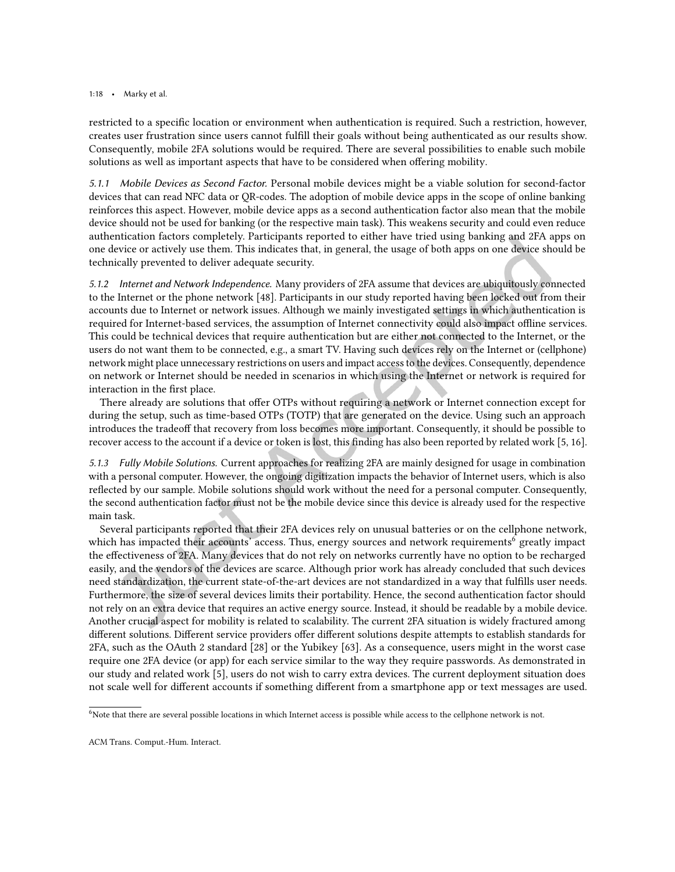#### 1:18 • Marky et al.

restricted to a speciic location or environment when authentication is required. Such a restriction, however, creates user frustration since users cannot fulill their goals without being authenticated as our results show. Consequently, mobile 2FA solutions would be required. There are several possibilities to enable such mobile solutions as well as important aspects that have to be considered when ofering mobility.

*5.1.1 Mobile Devices as Second Factor.* Personal mobile devices might be a viable solution for second-factor devices that can read NFC data or QR-codes. The adoption of mobile device apps in the scope of online banking reinforces this aspect. However, mobile device apps as a second authentication factor also mean that the mobile device should not be used for banking (or the respective main task). This weakens security and could even reduce authentication factors completely. Participants reported to either have tried using banking and 2FA apps on one device or actively use them. This indicates that, in general, the usage of both apps on one device should be technically prevented to deliver adequate security.

*5.1.2 Internet and Network Independence.* Many providers of 2FA assume that devices are ubiquitously connected to the Internet or the phone network [\[48\]](#page-26-11). Participants in our study reported having been locked out from their accounts due to Internet or network issues. Although we mainly investigated settings in which authentication is required for Internet-based services, the assumption of Internet connectivity could also impact offline services. This could be technical devices that require authentication but are either not connected to the Internet, or the users do not want them to be connected, e.g., a smart TV. Having such devices rely on the Internet or (cellphone) network might place unnecessary restrictions on users and impact access to the devices. Consequently, dependence on network or Internet should be needed in scenarios in which using the Internet or network is required for interaction in the first place.

There already are solutions that ofer OTPs without requiring a network or Internet connection except for during the setup, such as time-based OTPs (TOTP) that are generated on the device. Using such an approach introduces the tradeof that recovery from loss becomes more important. Consequently, it should be possible to recover access to the account if a device or token is lost, this finding has also been reported by related work [\[5,](#page-24-1) [16\]](#page-25-10).

*5.1.3 Fully Mobile Solutions.* Current approaches for realizing 2FA are mainly designed for usage in combination with a personal computer. However, the ongoing digitization impacts the behavior of Internet users, which is also relected by our sample. Mobile solutions should work without the need for a personal computer. Consequently, the second authentication factor must not be the mobile device since this device is already used for the respective main task.

Several participants reported that their 2FA devices rely on unusual batteries or on the cellphone network, which has impacted their accounts' access. Thus, energy sources and network requirements<sup>[6](#page-17-0)</sup> greatly impact the efectiveness of 2FA. Many devices that do not rely on networks currently have no option to be recharged easily, and the vendors of the devices are scarce. Although prior work has already concluded that such devices need standardization, the current state-of-the-art devices are not standardized in a way that fulills user needs. Furthermore, the size of several devices limits their portability. Hence, the second authentication factor should not rely on an extra device that requires an active energy source. Instead, it should be readable by a mobile device. Another crucial aspect for mobility is related to scalability. The current 2FA situation is widely fractured among diferent solutions. Diferent service providers ofer diferent solutions despite attempts to establish standards for 2FA, such as the OAuth 2 standard [\[28\]](#page-25-16) or the Yubikey [\[63\]](#page-27-8). As a consequence, users might in the worst case require one 2FA device (or app) for each service similar to the way they require passwords. As demonstrated in our study and related work [\[5\]](#page-24-1), users do not wish to carry extra devices. The current deployment situation does not scale well for diferent accounts if something diferent from a smartphone app or text messages are used.

<span id="page-17-0"></span><sup>6</sup>Note that there are several possible locations in which Internet access is possible while access to the cellphone network is not.

ACM Trans. Comput.-Hum. Interact.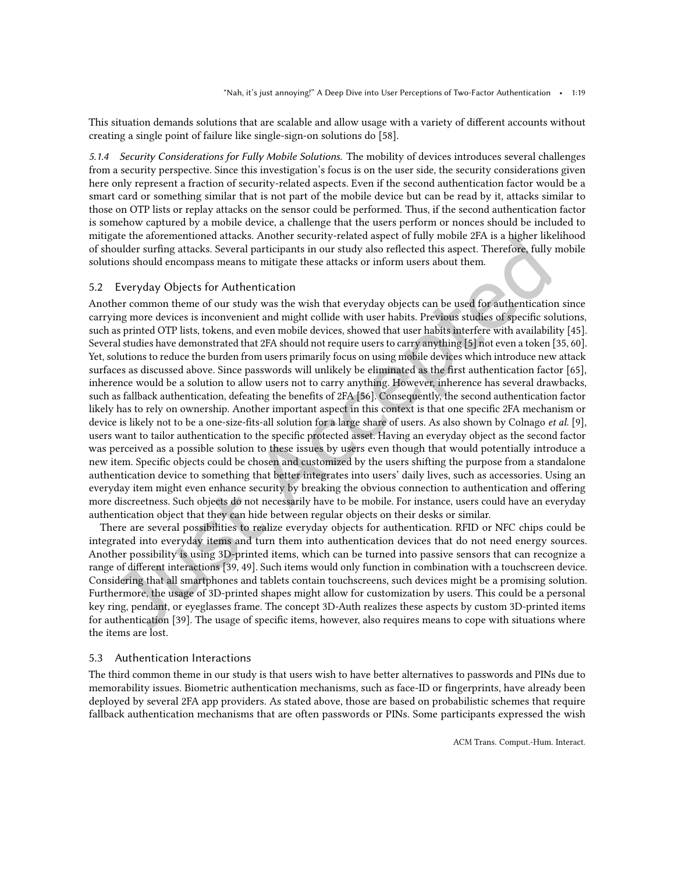This situation demands solutions that are scalable and allow usage with a variety of diferent accounts without creating a single point of failure like single-sign-on solutions do [\[58\]](#page-27-9).

*5.1.4 Security Considerations for Fully Mobile Solutions.* The mobility of devices introduces several challenges from a security perspective. Since this investigation's focus is on the user side, the security considerations given here only represent a fraction of security-related aspects. Even if the second authentication factor would be a smart card or something similar that is not part of the mobile device but can be read by it, attacks similar to those on OTP lists or replay attacks on the sensor could be performed. Thus, if the second authentication factor is somehow captured by a mobile device, a challenge that the users perform or nonces should be included to mitigate the aforementioned attacks. Another security-related aspect of fully mobile 2FA is a higher likelihood of shoulder suring attacks. Several participants in our study also relected this aspect. Therefore, fully mobile solutions should encompass means to mitigate these attacks or inform users about them.

#### 5.2 Everyday Objects for Authentication

Another common theme of our study was the wish that everyday objects can be used for authentication since carrying more devices is inconvenient and might collide with user habits. Previous studies of speciic solutions, such as printed OTP lists, tokens, and even mobile devices, showed that user habits interfere with availability [\[45\]](#page-26-3). Several studies have demonstrated that 2FA should not require users to carry anything [\[5\]](#page-24-1) not even a token [\[35,](#page-25-7) [60\]](#page-27-0). Yet, solutions to reduce the burden from users primarily focus on using mobile devices which introduce new attack surfaces as discussed above. Since passwords will unlikely be eliminated as the first authentication factor [\[65\]](#page-27-5), inherence would be a solution to allow users not to carry anything. However, inherence has several drawbacks, such as fallback authentication, defeating the benefits of 2FA [\[56\]](#page-26-12). Consequently, the second authentication factor likely has to rely on ownership. Another important aspect in this context is that one speciic 2FA mechanism or device is likely not to be a one-size-fits-all solution for a large share of users. As also shown by Colnago et al. [\[9\]](#page-24-2), users want to tailor authentication to the speciic protected asset. Having an everyday object as the second factor was perceived as a possible solution to these issues by users even though that would potentially introduce a new item. Speciic objects could be chosen and customized by the users shifting the purpose from a standalone authentication device to something that better integrates into users' daily lives, such as accessories. Using an everyday item might even enhance security by breaking the obvious connection to authentication and ofering more discreetness. Such objects do not necessarily have to be mobile. For instance, users could have an everyday authentication object that they can hide between regular objects on their desks or similar.

There are several possibilities to realize everyday objects for authentication. RFID or NFC chips could be integrated into everyday items and turn them into authentication devices that do not need energy sources. Another possibility is using 3D-printed items, which can be turned into passive sensors that can recognize a range of diferent interactions [\[39,](#page-26-13) [49\]](#page-26-14). Such items would only function in combination with a touchscreen device. Considering that all smartphones and tablets contain touchscreens, such devices might be a promising solution. Furthermore, the usage of 3D-printed shapes might allow for customization by users. This could be a personal key ring, pendant, or eyeglasses frame. The concept 3D-Auth realizes these aspects by custom 3D-printed items for authentication [\[39\]](#page-26-13). The usage of specific items, however, also requires means to cope with situations where the items are lost.

## 5.3 Authentication Interactions

The third common theme in our study is that users wish to have better alternatives to passwords and PINs due to memorability issues. Biometric authentication mechanisms, such as face-ID or ingerprints, have already been deployed by several 2FA app providers. As stated above, those are based on probabilistic schemes that require fallback authentication mechanisms that are often passwords or PINs. Some participants expressed the wish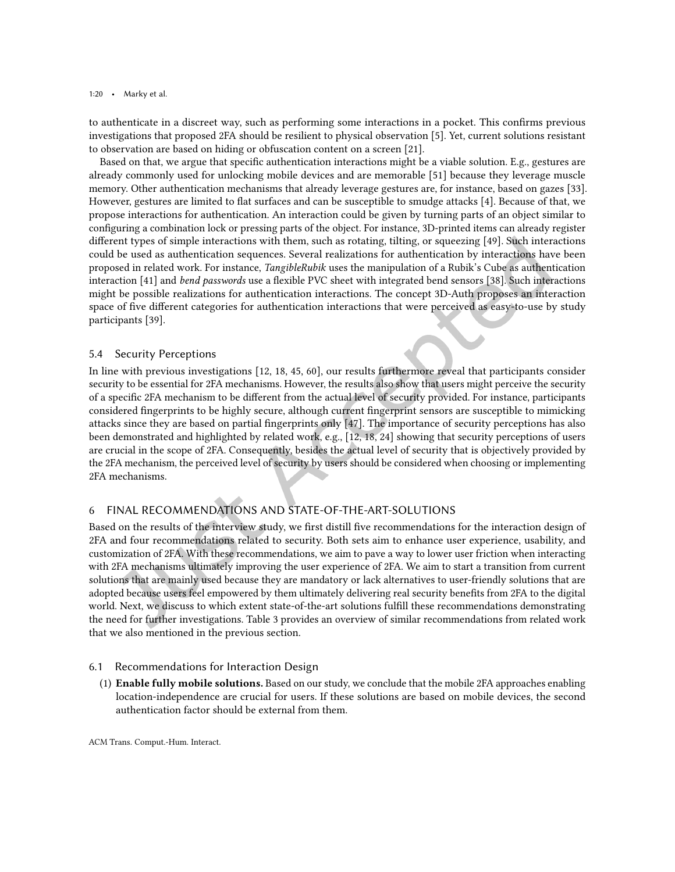to authenticate in a discreet way, such as performing some interactions in a pocket. This conirms previous investigations that proposed 2FA should be resilient to physical observation [\[5\]](#page-24-1). Yet, current solutions resistant to observation are based on hiding or obfuscation content on a screen [\[21\]](#page-25-17).

Based on that, we argue that specific authentication interactions might be a viable solution. E.g., gestures are already commonly used for unlocking mobile devices and are memorable [\[51\]](#page-26-15) because they leverage muscle memory. Other authentication mechanisms that already leverage gestures are, for instance, based on gazes [\[33\]](#page-25-18). However, gestures are limited to lat surfaces and can be susceptible to smudge attacks [\[4\]](#page-24-11). Because of that, we propose interactions for authentication. An interaction could be given by turning parts of an object similar to configuring a combination lock or pressing parts of the object. For instance, 3D-printed items can already register diferent types of simple interactions with them, such as rotating, tilting, or squeezing [\[49\]](#page-26-14). Such interactions could be used as authentication sequences. Several realizations for authentication by interactions have been proposed in related work. For instance, TangibleRubik uses the manipulation of a Rubik's Cube as authentication interaction [\[41\]](#page-26-16) and bend passwords use a lexible PVC sheet with integrated bend sensors [\[38\]](#page-26-17). Such interactions might be possible realizations for authentication interactions. The concept 3D-Auth proposes an interaction space of five different categories for authentication interactions that were perceived as easy-to-use by study participants [\[39\]](#page-26-13).

## 5.4 Security Perceptions

In line with previous investigations [\[12,](#page-24-0) [18,](#page-25-4) [45,](#page-26-3) [60\]](#page-27-0), our results furthermore reveal that participants consider security to be essential for 2FA mechanisms. However, the results also show that users might perceive the security of a speciic 2FA mechanism to be diferent from the actual level of security provided. For instance, participants considered ingerprints to be highly secure, although current ingerprint sensors are susceptible to mimicking attacks since they are based on partial ingerprints only [\[47\]](#page-26-2). The importance of security perceptions has also been demonstrated and highlighted by related work, e.g., [\[12,](#page-24-0) [18,](#page-25-4) [24\]](#page-25-5) showing that security perceptions of users are crucial in the scope of 2FA. Consequently, besides the actual level of security that is objectively provided by the 2FA mechanism, the perceived level of security by users should be considered when choosing or implementing 2FA mechanisms.

# <span id="page-19-0"></span>6 FINAL RECOMMENDATIONS AND STATE-OF-THE-ART-SOLUTIONS

Based on the results of the interview study, we first distill five recommendations for the interaction design of 2FA and four recommendations related to security. Both sets aim to enhance user experience, usability, and customization of 2FA. With these recommendations, we aim to pave a way to lower user friction when interacting with 2FA mechanisms ultimately improving the user experience of 2FA. We aim to start a transition from current solutions that are mainly used because they are mandatory or lack alternatives to user-friendly solutions that are adopted because users feel empowered by them ultimately delivering real security beneits from 2FA to the digital world. Next, we discuss to which extent state-of-the-art solutions fulill these recommendations demonstrating the need for further investigations. Table [3](#page-20-1) provides an overview of similar recommendations from related work that we also mentioned in the previous section.

#### 6.1 Recommendations for Interaction Design

(1) Enable fully mobile solutions. Based on our study, we conclude that the mobile 2FA approaches enabling location-independence are crucial for users. If these solutions are based on mobile devices, the second authentication factor should be external from them.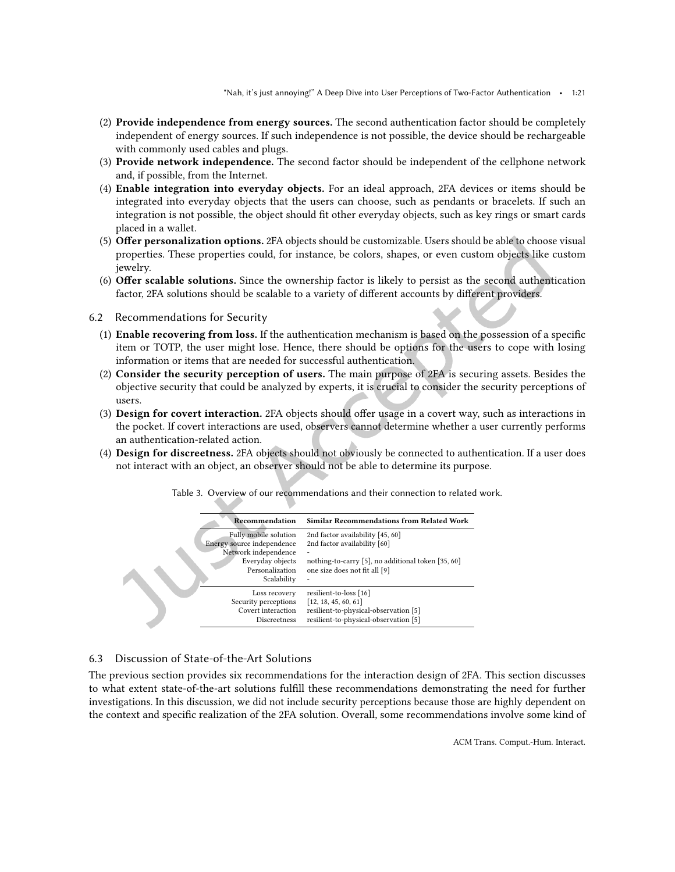- (2) Provide independence from energy sources. The second authentication factor should be completely independent of energy sources. If such independence is not possible, the device should be rechargeable with commonly used cables and plugs.
- (3) Provide network independence. The second factor should be independent of the cellphone network and, if possible, from the Internet.
- (4) Enable integration into everyday objects. For an ideal approach, 2FA devices or items should be integrated into everyday objects that the users can choose, such as pendants or bracelets. If such an integration is not possible, the object should it other everyday objects, such as key rings or smart cards placed in a wallet.
- (5) Ofer personalization options. 2FA objects should be customizable. Users should be able to choose visual properties. These properties could, for instance, be colors, shapes, or even custom objects like custom jewelry.
- (6) Ofer scalable solutions. Since the ownership factor is likely to persist as the second authentication factor, 2FA solutions should be scalable to a variety of diferent accounts by diferent providers.
- 6.2 Recommendations for Security
	- (1) Enable recovering from loss. If the authentication mechanism is based on the possession of a speciic item or TOTP, the user might lose. Hence, there should be options for the users to cope with losing information or items that are needed for successful authentication.
	- (2) Consider the security perception of users. The main purpose of 2FA is securing assets. Besides the objective security that could be analyzed by experts, it is crucial to consider the security perceptions of users.
	- (3) Design for covert interaction. 2FA objects should ofer usage in a covert way, such as interactions in the pocket. If covert interactions are used, observers cannot determine whether a user currently performs an authentication-related action.
	- (4) Design for discreetness. 2FA objects should not obviously be connected to authentication. If a user does not interact with an object, an observer should not be able to determine its purpose.

<span id="page-20-1"></span>

Table 3. Overview of our recommendations and their connection to related work.

## <span id="page-20-0"></span>6.3 Discussion of State-of-the-Art Solutions

The previous section provides six recommendations for the interaction design of 2FA. This section discusses to what extent state-of-the-art solutions fulill these recommendations demonstrating the need for further investigations. In this discussion, we did not include security perceptions because those are highly dependent on the context and specific realization of the 2FA solution. Overall, some recommendations involve some kind of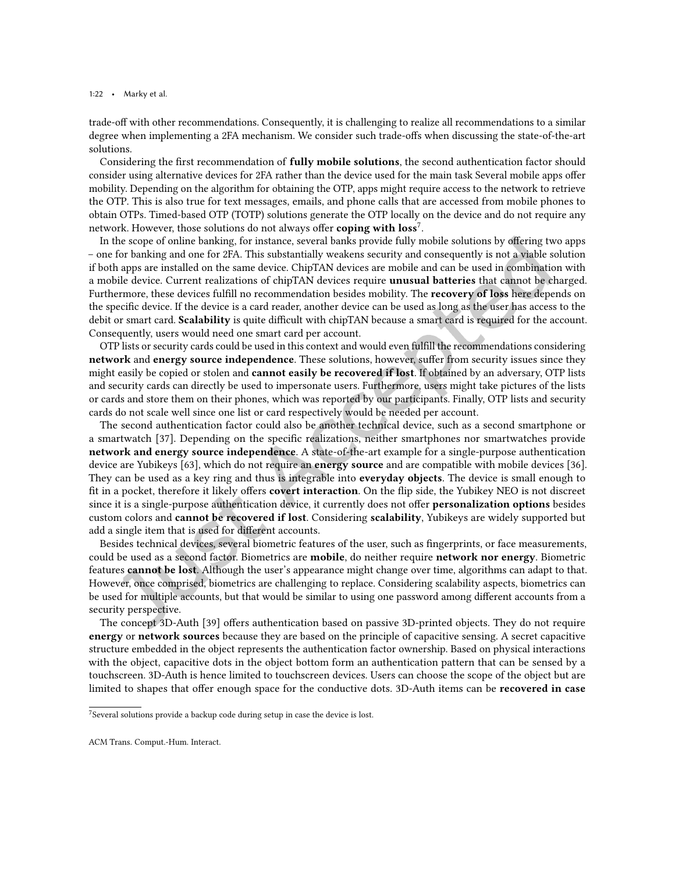1:22 • Marky et al.

trade-off with other recommendations. Consequently, it is challenging to realize all recommendations to a similar degree when implementing a 2FA mechanism. We consider such trade-offs when discussing the state-of-the-art solutions.

Considering the first recommendation of **fully mobile solutions**, the second authentication factor should consider using alternative devices for 2FA rather than the device used for the main task Several mobile apps ofer mobility. Depending on the algorithm for obtaining the OTP, apps might require access to the network to retrieve the OTP. This is also true for text messages, emails, and phone calls that are accessed from mobile phones to obtain OTPs. Timed-based OTP (TOTP) solutions generate the OTP locally on the device and do not require any network. However, those solutions do not always offer  $\mathbf{coping}$  with  $\mathbf{loss}^7.$  $\mathbf{loss}^7.$  $\mathbf{loss}^7.$ 

In the scope of online banking, for instance, several banks provide fully mobile solutions by ofering two apps – one for banking and one for 2FA. This substantially weakens security and consequently is not a viable solution if both apps are installed on the same device. ChipTAN devices are mobile and can be used in combination with a mobile device. Current realizations of chipTAN devices require unusual batteries that cannot be charged. Furthermore, these devices fulfill no recommendation besides mobility. The **recovery of loss** here depends on the specific device. If the device is a card reader, another device can be used as long as the user has access to the debit or smart card. Scalability is quite difficult with chipTAN because a smart card is required for the account. Consequently, users would need one smart card per account.

OTP lists or security cards could be used in this context and would even fulill the recommendations considering network and energy source independence. These solutions, however, sufer from security issues since they might easily be copied or stolen and cannot easily be recovered if lost. If obtained by an adversary, OTP lists and security cards can directly be used to impersonate users. Furthermore, users might take pictures of the lists or cards and store them on their phones, which was reported by our participants. Finally, OTP lists and security cards do not scale well since one list or card respectively would be needed per account.

The second authentication factor could also be another technical device, such as a second smartphone or a smartwatch [\[37\]](#page-26-18). Depending on the speciic realizations, neither smartphones nor smartwatches provide network and energy source independence. A state-of-the-art example for a single-purpose authentication device are Yubikeys [\[63\]](#page-27-8), which do not require an energy source and are compatible with mobile devices [\[36\]](#page-26-8). They can be used as a key ring and thus is integrable into **everyday objects**. The device is small enough to fit in a pocket, therefore it likely offers covert interaction. On the flip side, the Yubikey NEO is not discreet since it is a single-purpose authentication device, it currently does not offer **personalization options** besides custom colors and cannot be recovered if lost. Considering scalability, Yubikeys are widely supported but add a single item that is used for diferent accounts.

Besides technical devices, several biometric features of the user, such as ingerprints, or face measurements, could be used as a second factor. Biometrics are **mobile**, do neither require **network nor energy**. Biometric features cannot be lost. Although the user's appearance might change over time, algorithms can adapt to that. However, once comprised, biometrics are challenging to replace. Considering scalability aspects, biometrics can be used for multiple accounts, but that would be similar to using one password among diferent accounts from a security perspective.

The concept 3D-Auth [\[39\]](#page-26-13) ofers authentication based on passive 3D-printed objects. They do not require energy or network sources because they are based on the principle of capacitive sensing. A secret capacitive structure embedded in the object represents the authentication factor ownership. Based on physical interactions with the object, capacitive dots in the object bottom form an authentication pattern that can be sensed by a touchscreen. 3D-Auth is hence limited to touchscreen devices. Users can choose the scope of the object but are limited to shapes that offer enough space for the conductive dots. 3D-Auth items can be recovered in case

<span id="page-21-0"></span> $^7$ Several solutions provide a backup code during setup in case the device is lost.

ACM Trans. Comput.-Hum. Interact.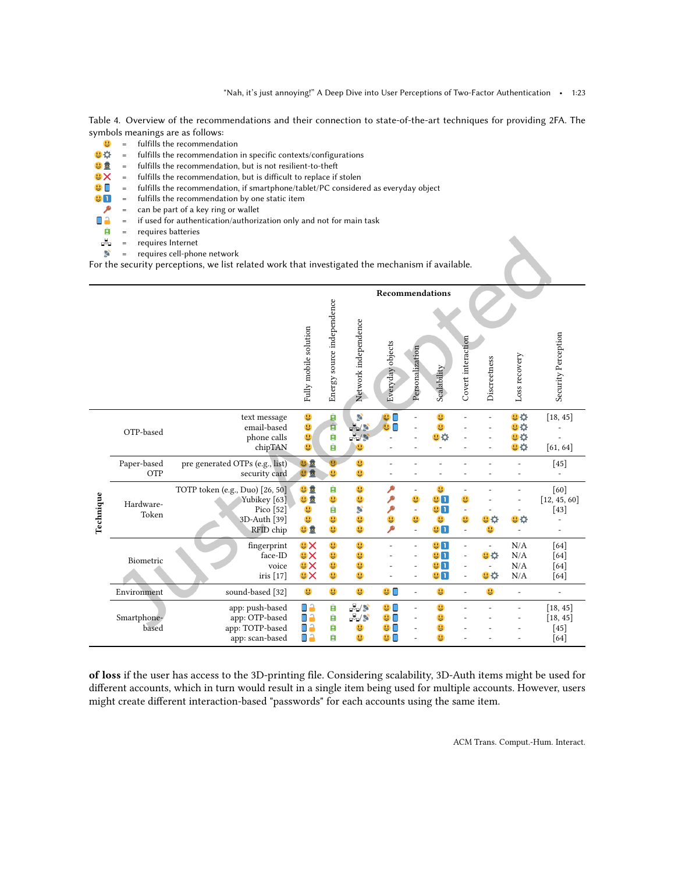<span id="page-22-0"></span>Table 4. Overview of the recommendations and their connection to state-of-the-art techniques for providing 2FA. The symbols meanings are as follows:<br> $\frac{10}{10}$  = fulfills the recommendat

- $\frac{1}{2}$  = fulfills the recommendation<br> $\frac{1}{2}$  = fulfills the recommendation
	- fulfills the recommendation in specific contexts/configurations
- $\frac{1}{2}$  = fulfills the recommendation, but is not resilient-to-theft
- 
- $\mathbf{Q} \times \mathbf{S} = \mathbf{S}$  fulfills the recommendation, but is difficult to replace if stolen  $\mathbf{Q} \cdot \mathbf{S} = \mathbf{S}$  fulfills the recommendation, if smartphone/tablet/PC consider  $\bullet$   $\bullet$  = fulfills the recommendation, if smartphone/tablet/PC considered as everyday object  $\bullet$   $\bullet$  fulfills the recommendation by one static item
- fulfills the recommendation by one static item
- = can be part of a key ring or wallet ۹
- D<sup>i</sup>a = if used for authentication/authorization only and not for main task
- = requires batteries  $\hat{\mathbf{r}}$
- $\begin{array}{ccc} \n\frac{1}{2} & = & \n\frac{1}{2} & = & \n\frac{1}{2} & = & \n\end{array}$ requires Internet
- requires cell-phone network

For the security perceptions, we list related work that investigated the mechanism if available.

|           |                      |                                                                                           |                                                  |                            | Recommendations       |                                    |                                                                |                                               |                                    |              |                                     |                                        |
|-----------|----------------------|-------------------------------------------------------------------------------------------|--------------------------------------------------|----------------------------|-----------------------|------------------------------------|----------------------------------------------------------------|-----------------------------------------------|------------------------------------|--------------|-------------------------------------|----------------------------------------|
|           |                      |                                                                                           | Fully mobile solution                            | Energy source independence | Network independence  | Everyday objects                   | Personalization                                                | Scalability                                   | Covert interaction                 | Discreetness | Loss recovery                       | Security Perception                    |
| Technique | OTP-based            | text message<br>email-based<br>phone calls<br>chipTAN                                     | U<br>U<br>U<br>号                                 | g<br>ġ<br>Ĥ<br>Ĥ           | S                     | n                                  |                                                                | u<br>90                                       |                                    |              | <b>UD</b><br><b>U Q</b><br>日章<br>日立 | [18, 45]<br>[61, 64]                   |
|           | Paper-based<br>OTP   | pre generated OTPs (e.g., list)<br>security card                                          | 巴豆<br>日量                                         | u                          | u<br>u                |                                    |                                                                |                                               |                                    |              |                                     | $[45]$                                 |
|           | Hardware-<br>Token   | TOTP token (e.g., Duo) [26, 50]<br>Yubikey [63]<br>Pico [52]<br>3D-Auth [39]<br>RFID chip | 出量<br>巴皇<br>U<br>u<br>出量                         | Ĥ<br>U<br>Ĥ<br>U<br>U      | U<br>U<br>S<br>U<br>U | ٩<br>۹<br>U<br>۹                   | $\overline{\phantom{a}}$<br>u<br>$\overline{\phantom{a}}$<br>u | u<br><b>UD</b><br><b>UI</b><br>U<br><b>UU</b> | 昌<br>u<br>$\overline{\phantom{a}}$ | U O<br>u     | 방수                                  | [60]<br>[12, 45, 60]<br>$[43]$         |
|           | Biometric            | fingerprint<br>face-ID<br>voice<br>iris [17]                                              | <b>AR</b><br><b>UX</b><br><b>UX</b><br><b>BX</b> | u<br>U<br>U<br>U           | u<br>U<br>U<br>u      |                                    |                                                                | 9 <b>n</b><br><b>UD</b><br>91<br>91           | $\overline{\phantom{a}}$           | 日立<br>日章     | N/A<br>N/A<br>N/A<br>N/A            | [64]<br>[64]<br>[64]<br>[64]           |
|           | Environment          | sound-based [32]                                                                          | U                                                | u                          | u                     | <b>90</b>                          | L,                                                             | 号                                             |                                    | U            |                                     |                                        |
|           | Smartphone-<br>based | app: push-based<br>app: OTP-based<br>app: TOTP-based<br>app: scan-based                   | ۵A<br>$\blacksquare$<br>o٥<br>٥a                 | Ĥ<br>Ĥ<br>Ĥ<br>Ĥ           | 品<br>в<br>u           | 9 <sup>°</sup><br>С<br>u<br>u<br>u |                                                                | U<br>U<br>u<br>u                              |                                    |              |                                     | [18, 45]<br>[18, 45]<br>$[45]$<br>[64] |

of loss if the user has access to the 3D-printing ile. Considering scalability, 3D-Auth items might be used for diferent accounts, which in turn would result in a single item being used for multiple accounts. However, users might create diferent interaction-based "passwords" for each accounts using the same item.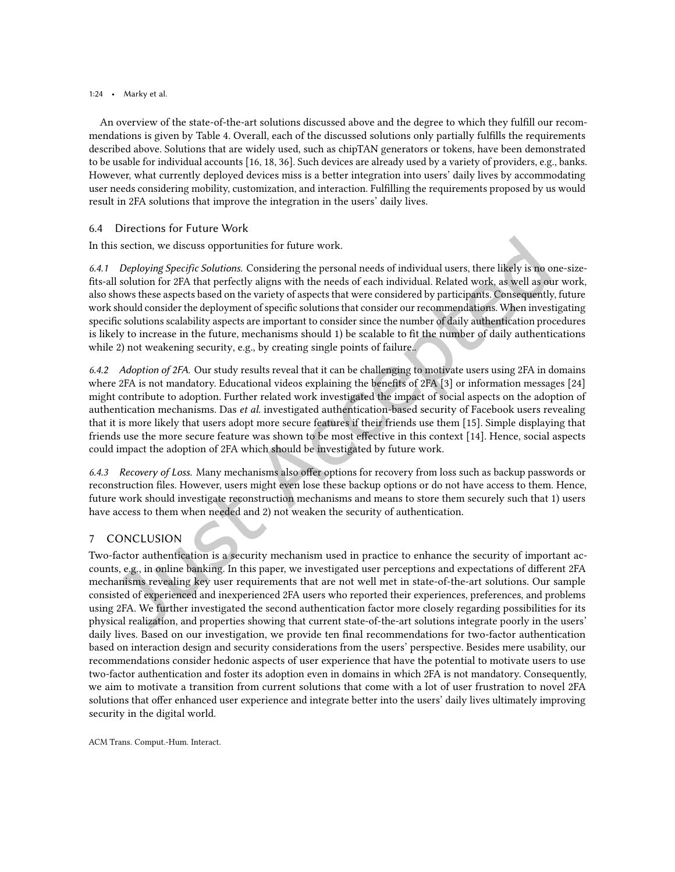#### 1:24 • Marky et al.

An overview of the state-of-the-art solutions discussed above and the degree to which they fulill our recommendations is given by Table [4.](#page-22-0) Overall, each of the discussed solutions only partially fulills the requirements described above. Solutions that are widely used, such as chipTAN generators or tokens, have been demonstrated to be usable for individual accounts [\[16,](#page-25-10) [18,](#page-25-4) [36\]](#page-26-8). Such devices are already used by a variety of providers, e.g., banks. However, what currently deployed devices miss is a better integration into users' daily lives by accommodating user needs considering mobility, customization, and interaction. Fulilling the requirements proposed by us would result in 2FA solutions that improve the integration in the users' daily lives.

# 6.4 Directions for Future Work

In this section, we discuss opportunities for future work.

*6.4.1 Deploying Specific Solutions.* Considering the personal needs of individual users, there likely is no one-sizefits-all solution for 2FA that perfectly aligns with the needs of each individual. Related work, as well as our work, also shows these aspects based on the variety of aspects that were considered by participants. Consequently, future work should consider the deployment of specific solutions that consider our recommendations. When investigating speciic solutions scalability aspects are important to consider since the number of daily authentication procedures is likely to increase in the future, mechanisms should 1) be scalable to fit the number of daily authentications while 2) not weakening security, e.g., by creating single points of failure..

*6.4.2 Adoption of 2FA.* Our study results reveal that it can be challenging to motivate users using 2FA in domains where 2FA is not mandatory. Educational videos explaining the benefits of 2FA  $[3]$  or information messages  $[24]$ might contribute to adoption. Further related work investigated the impact of social aspects on the adoption of authentication mechanisms. Das et al. investigated authentication-based security of Facebook users revealing that it is more likely that users adopt more secure features if their friends use them [\[15\]](#page-25-20). Simple displaying that friends use the more secure feature was shown to be most efective in this context [\[14\]](#page-24-13). Hence, social aspects could impact the adoption of 2FA which should be investigated by future work.

*6.4.3 Recovery of Loss.* Many mechanisms also ofer options for recovery from loss such as backup passwords or reconstruction iles. However, users might even lose these backup options or do not have access to them. Hence, future work should investigate reconstruction mechanisms and means to store them securely such that 1) users have access to them when needed and 2) not weaken the security of authentication.

# <span id="page-23-0"></span>7 CONCLUSION

Two-factor authentication is a security mechanism used in practice to enhance the security of important accounts, e.g., in online banking. In this paper, we investigated user perceptions and expectations of diferent 2FA mechanisms revealing key user requirements that are not well met in state-of-the-art solutions. Our sample consisted of experienced and inexperienced 2FA users who reported their experiences, preferences, and problems using 2FA. We further investigated the second authentication factor more closely regarding possibilities for its physical realization, and properties showing that current state-of-the-art solutions integrate poorly in the users' daily lives. Based on our investigation, we provide ten final recommendations for two-factor authentication based on interaction design and security considerations from the users' perspective. Besides mere usability, our recommendations consider hedonic aspects of user experience that have the potential to motivate users to use two-factor authentication and foster its adoption even in domains in which 2FA is not mandatory. Consequently, we aim to motivate a transition from current solutions that come with a lot of user frustration to novel 2FA solutions that offer enhanced user experience and integrate better into the users' daily lives ultimately improving security in the digital world.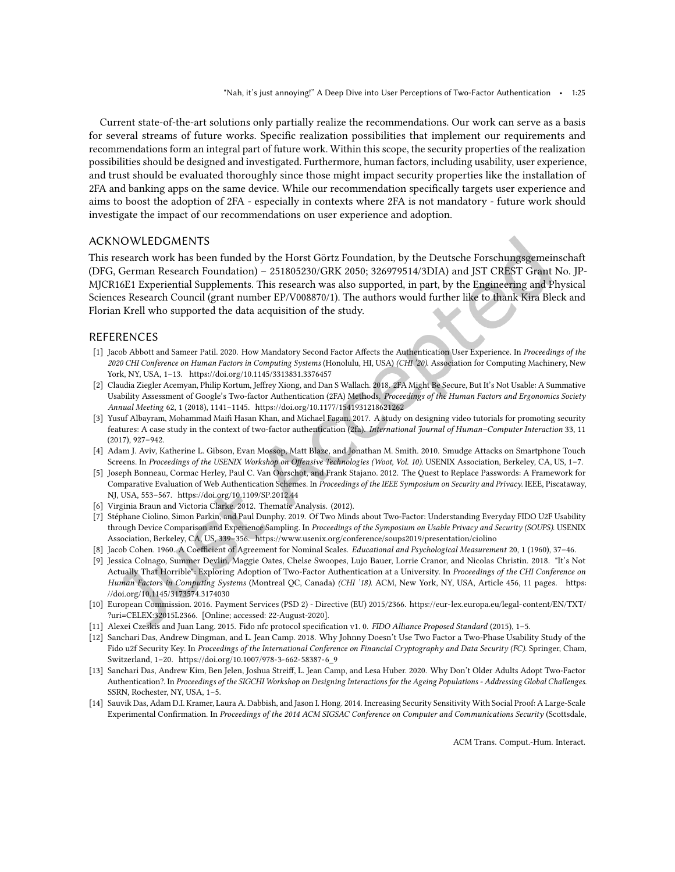Current state-of-the-art solutions only partially realize the recommendations. Our work can serve as a basis for several streams of future works. Speciic realization possibilities that implement our requirements and recommendations form an integral part of future work. Within this scope, the security properties of the realization possibilities should be designed and investigated. Furthermore, human factors, including usability, user experience, and trust should be evaluated thoroughly since those might impact security properties like the installation of 2FA and banking apps on the same device. While our recommendation specifically targets user experience and aims to boost the adoption of 2FA - especially in contexts where 2FA is not mandatory - future work should investigate the impact of our recommendations on user experience and adoption.

# ACKNOWLEDGMENTS

This research work has been funded by the Horst Görtz Foundation, by the Deutsche Forschungsgemeinschaft (DFG, German Research Foundation) - 251805230/GRK 2050; 326979514/3DIA) and JST CREST Grant No. JP-MJCR16E1 Experiential Supplements. This research was also supported, in part, by the Engineering and Physical Sciences Research Council (grant number EP/V008870/1). The authors would further like to thank Kira Bleck and Florian Krell who supported the data acquisition of the study.

## REFERENCES

- <span id="page-24-8"></span>[1] Jacob Abbott and Sameer Patil. 2020. How Mandatory Second Factor Affects the Authentication User Experience. In Proceedings of the 2020 CHI Conference on Human Factors in Computing Systems (Honolulu, HI, USA) (CHI '20). Association for Computing Machinery, New York, NY, USA, 1-13.<https://doi.org/10.1145/3313831.3376457>
- <span id="page-24-6"></span>[2] Claudia Ziegler Acemyan, Philip Kortum, Jefrey Xiong, and Dan S Wallach. 2018. 2FA Might Be Secure, But It's Not Usable: A Summative Usability Assessment of Google's Two-factor Authentication (2FA) Methods. Proceedings of the Human Factors and Ergonomics Society Annual Meeting 62, 1 (2018), 1141-1145.<https://doi.org/10.1177/1541931218621262>
- <span id="page-24-12"></span>[3] Yusuf Albayram, Mohammad Maii Hasan Khan, and Michael Fagan. 2017. A study on designing video tutorials for promoting security features: A case study in the context of two-factor authentication (2fa). International Journal of Human-Computer Interaction 33, 11  $(2017)$ , 927–942.
- <span id="page-24-11"></span>[4] Adam J. Aviv, Katherine L. Gibson, Evan Mossop, Matt Blaze, and Jonathan M. Smith. 2010. Smudge Attacks on Smartphone Touch Screens. In Proceedings of the USENIX Workshop on Offensive Technologies (Woot, Vol. 10). USENIX Association, Berkeley, CA, US, 1-7.
- <span id="page-24-1"></span>[5] Joseph Bonneau, Cormac Herley, Paul C. Van Oorschot, and Frank Stajano. 2012. The Quest to Replace Passwords: A Framework for Comparative Evaluation of Web Authentication Schemes. In Proceedings of the IEEE Symposium on Security and Privacy. IEEE, Piscataway, NJ, USA, 553-567.<https://doi.org/10.1109/SP.2012.44>
- <span id="page-24-9"></span>[6] Virginia Braun and Victoria Clarke. 2012. Thematic Analysis. (2012).
- <span id="page-24-3"></span>[7] Stéphane Ciolino, Simon Parkin, and Paul Dunphy. 2019. Of Two Minds about Two-Factor: Understanding Everyday FIDO U2F Usability through Device Comparison and Experience Sampling. In Proceedings of the Symposium on Usable Privacy and Security (SOUPS). USENIX Association, Berkeley, CA, US, 339-356.<https://www.usenix.org/conference/soups2019/presentation/ciolino>
- <span id="page-24-10"></span>[8] Jacob Cohen. 1960. A Coefficient of Agreement for Nominal Scales. Educational and Psychological Measurement 20, 1 (1960), 37-46.
- <span id="page-24-2"></span>[9] Jessica Colnago, Summer Devlin, Maggie Oates, Chelse Swoopes, Lujo Bauer, Lorrie Cranor, and Nicolas Christin. 2018. "It's Not Actually That Horrible": Exploring Adoption of Two-Factor Authentication at a University. In Proceedings of the CHI Conference on Human Factors in Computing Systems (Montreal QC, Canada) (CHI '18). ACM, New York, NY, USA, Article 456, 11 pages. [https:](https://doi.org/10.1145/3173574.3174030) [//doi.org/10.1145/3173574.3174030](https://doi.org/10.1145/3173574.3174030)
- <span id="page-24-5"></span>[10] European Commission. 2016. Payment Services (PSD 2) - Directive (EU) 2015/2366. [https://eur-lex.europa.eu/legal-content/EN/TXT/](https://eur-lex.europa.eu/legal-content/EN/TXT/?uri=CELEX:32015L2366) [?uri=CELEX:32015L2366.](https://eur-lex.europa.eu/legal-content/EN/TXT/?uri=CELEX:32015L2366) [Online; accessed: 22-August-2020].
- <span id="page-24-4"></span>[11] Alexei Czeskis and Juan Lang. 2015. Fido nfc protocol specification v1. 0. FIDO Alliance Proposed Standard (2015), 1-5.
- <span id="page-24-0"></span>[12] Sanchari Das, Andrew Dingman, and L. Jean Camp. 2018. Why Johnny Doesn't Use Two Factor a Two-Phase Usability Study of the Fido u2f Security Key. In Proceedings of the International Conference on Financial Cryptography and Data Security (FC). Springer, Cham, Switzerland, 1-20. [https://doi.org/10.1007/978-3-662-58387-6\\_9](https://doi.org/10.1007/978-3-662-58387-6_9)
- <span id="page-24-7"></span>[13] Sanchari Das, Andrew Kim, Ben Jelen, Joshua Streif, L. Jean Camp, and Lesa Huber. 2020. Why Don't Older Adults Adopt Two-Factor Authentication?. In Proceedings of the SIGCHI Workshop on Designing Interactions for the Ageing Populations - Addressing Global Challenges. SSRN, Rochester, NY, USA, 1-5.
- <span id="page-24-13"></span>[14] Sauvik Das, Adam D.I. Kramer, Laura A. Dabbish, and Jason I. Hong. 2014. Increasing Security Sensitivity With Social Proof: A Large-Scale Experimental Confirmation. In Proceedings of the 2014 ACM SIGSAC Conference on Computer and Communications Security (Scottsdale,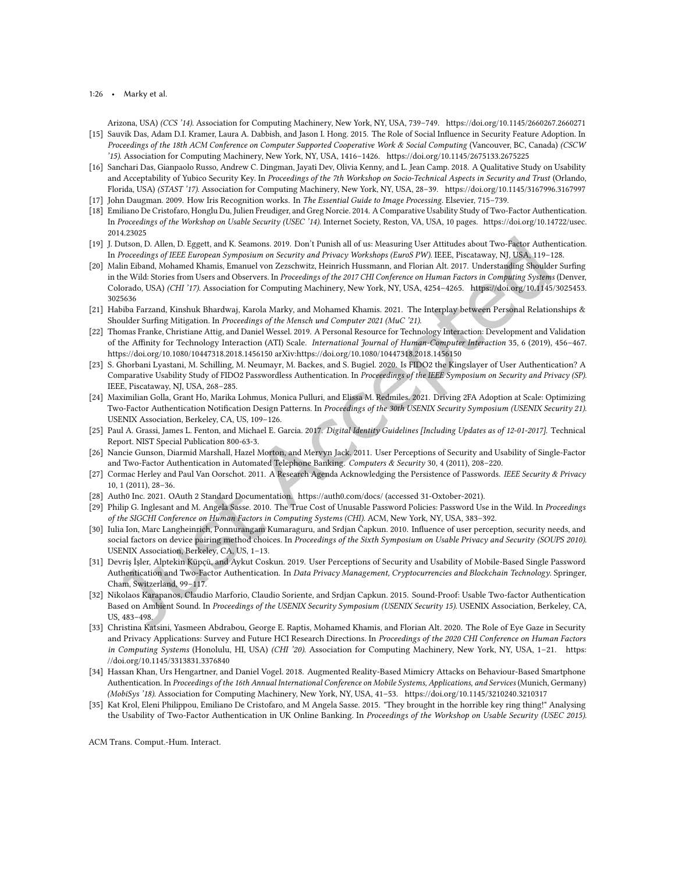1:26 • Marky et al.

<span id="page-25-20"></span>Arizona, USA) (CCS '14). Association for Computing Machinery, New York, NY, USA, 739-749.<https://doi.org/10.1145/2660267.2660271> [15] Sauvik Das, Adam D.I. Kramer, Laura A. Dabbish, and Jason I. Hong. 2015. The Role of Social Inluence in Security Feature Adoption. In

- Proceedings of the 18th ACM Conference on Computer Supported Cooperative Work & Social Computing (Vancouver, BC, Canada) (CSCW '15). Association for Computing Machinery, New York, NY, USA, 1416-1426.<https://doi.org/10.1145/2675133.2675225>
- <span id="page-25-10"></span>[16] Sanchari Das, Gianpaolo Russo, Andrew C. Dingman, Jayati Dev, Olivia Kenny, and L. Jean Camp. 2018. A Qualitative Study on Usability and Acceptability of Yubico Security Key. In Proceedings of the 7th Workshop on Socio-Technical Aspects in Security and Trust (Orlando, Florida, USA) (STAST '17). Association for Computing Machinery, New York, NY, USA, 28-39.<https://doi.org/10.1145/3167996.3167997>
- <span id="page-25-19"></span>[17] John Daugman. 2009. How Iris Recognition works. In The Essential Guide to Image Processing. Elsevier, 715-739.
- <span id="page-25-4"></span>[18] Emiliano De Cristofaro, Honglu Du, Julien Freudiger, and Greg Norcie. 2014. A Comparative Usability Study of Two-Factor Authentication. In Proceedings of the Workshop on Usable Security (USEC '14). Internet Society, Reston, VA, USA, 10 pages. [https://doi.org/10.14722/usec.](https://doi.org/10.14722/usec.2014.23025) [2014.23025](https://doi.org/10.14722/usec.2014.23025)
- <span id="page-25-14"></span>[19] J. Dutson, D. Allen, D. Eggett, and K. Seamons. 2019. Don't Punish all of us: Measuring User Attitudes about Two-Factor Authentication. In Proceedings of IEEE European Symposium on Security and Privacy Workshops (EuroS PW). IEEE, Piscataway, NJ, USA, 119-128.
- <span id="page-25-1"></span>[20] Malin Eiband, Mohamed Khamis, Emanuel von Zezschwitz, Heinrich Hussmann, and Florian Alt. 2017. Understanding Shoulder Suring in the Wild: Stories from Users and Observers. In Proceedings of the 2017 CHI Conference on Human Factors in Computing Systems (Denver, Colorado, USA) (CHI '17). Association for Computing Machinery, New York, NY, USA, 4254-4265. [https://doi.org/10.1145/3025453.](https://doi.org/10.1145/3025453.3025636) [3025636](https://doi.org/10.1145/3025453.3025636)
- <span id="page-25-17"></span>[21] Habiba Farzand, Kinshuk Bhardwaj, Karola Marky, and Mohamed Khamis. 2021. The Interplay between Personal Relationships & Shoulder Surfing Mitigation. In Proceedings of the Mensch und Computer 2021 (MuC '21).
- <span id="page-25-15"></span>[22] Thomas Franke, Christiane Attig, and Daniel Wessel. 2019. A Personal Resource for Technology Interaction: Development and Validation of the Affinity for Technology Interaction (ATI) Scale. International Journal of Human-Computer Interaction 35, 6 (2019), 456-467. <https://doi.org/10.1080/10447318.2018.1456150> arXiv[:https://doi.org/10.1080/10447318.2018.1456150](https://arxiv.org/abs/https://doi.org/10.1080/10447318.2018.1456150)
- <span id="page-25-11"></span>[23] S. Ghorbani Lyastani, M. Schilling, M. Neumayr, M. Backes, and S. Bugiel. 2020. Is FIDO2 the Kingslayer of User Authentication? A Comparative Usability Study of FIDO2 Passwordless Authentication. In Proceeedings of the IEEE Symposium on Security and Privacy (SP). IEEE, Piscataway, NJ, USA, 268-285.
- <span id="page-25-5"></span>[24] Maximilian Golla, Grant Ho, Marika Lohmus, Monica Pulluri, and Elissa M. Redmiles. 2021. Driving 2FA Adoption at Scale: Optimizing Two-Factor Authentication Notification Design Patterns. In Proceedings of the 30th USENIX Security Symposium (USENIX Security 21). USENIX Association, Berkeley, CA, US, 109-126.
- <span id="page-25-0"></span>[25] Paul A. Grassi, James L. Fenton, and Michael E. Garcia. 2017. Digital Identity Guidelines [Including Updates as of 12-01-2017]. Technical Report. NIST Special Publication 800-63-3.
- <span id="page-25-9"></span>[26] Nancie Gunson, Diarmid Marshall, Hazel Morton, and Mervyn Jack. 2011. User Perceptions of Security and Usability of Single-Factor and Two-Factor Authentication in Automated Telephone Banking. Computers & Security 30, 4 (2011), 208-220.
- <span id="page-25-2"></span>[27] Cormac Herley and Paul Van Oorschot. 2011. A Research Agenda Acknowledging the Persistence of Passwords. IEEE Security & Privacy 10, 1 (2011), 28-36.
- <span id="page-25-16"></span>[28] Auth0 Inc. 2021. OAuth 2 Standard Documentation.<https://auth0.com/docs/> (accessed 31-Oxtober-2021).
- <span id="page-25-8"></span>[29] Philip G. Inglesant and M. Angela Sasse. 2010. The True Cost of Unusable Password Policies: Password Use in the Wild. In Proceedings of the SIGCHI Conference on Human Factors in Computing Systems (CHI). ACM, New York, NY, USA, 383-392.
- <span id="page-25-12"></span>[30] Iulia Ion, Marc Langheinrich, Ponnurangam Kumaraguru, and Srdjan Čapkun. 2010. Inluence of user perception, security needs, and social factors on device pairing method choices. In Proceedings of the Sixth Symposium on Usable Privacy and Security (SOUPS 2010). USENIX Association, Berkeley, CA, US, 1-13.
- <span id="page-25-6"></span>[31] Devriş İşler, Alptekin Küpçü, and Aykut Coskun. 2019. User Perceptions of Security and Usability of Mobile-Based Single Password Authentication and Two-Factor Authentication. In Data Privacy Management, Cryptocurrencies and Blockchain Technology. Springer, Cham, Switzerland, 99-117.
- <span id="page-25-13"></span>[32] Nikolaos Karapanos, Claudio Marforio, Claudio Soriente, and Srdjan Capkun. 2015. Sound-Proof: Usable Two-factor Authentication Based on Ambient Sound. In Proceedings of the USENIX Security Symposium (USENIX Security 15). USENIX Association, Berkeley, CA, US, 483-498.
- <span id="page-25-18"></span>[33] Christina Katsini, Yasmeen Abdrabou, George E. Raptis, Mohamed Khamis, and Florian Alt. 2020. The Role of Eye Gaze in Security and Privacy Applications: Survey and Future HCI Research Directions. In Proceedings of the 2020 CHI Conference on Human Factors in Computing Systems (Honolulu, HI, USA) (CHI '20). Association for Computing Machinery, New York, NY, USA, 1-21. [https:](https://doi.org/10.1145/3313831.3376840) [//doi.org/10.1145/3313831.3376840](https://doi.org/10.1145/3313831.3376840)
- <span id="page-25-3"></span>[34] Hassan Khan, Urs Hengartner, and Daniel Vogel. 2018. Augmented Reality-Based Mimicry Attacks on Behaviour-Based Smartphone Authentication. In Proceedings of the 16th Annual International Conference on Mobile Systems, Applications, and Services (Munich, Germany) (MobiSys '18). Association for Computing Machinery, New York, NY, USA, 41-53.<https://doi.org/10.1145/3210240.3210317>
- <span id="page-25-7"></span>[35] Kat Krol, Eleni Philippou, Emiliano De Cristofaro, and M Angela Sasse. 2015. "They brought in the horrible key ring thing!" Analysing the Usability of Two-Factor Authentication in UK Online Banking. In Proceedings of the Workshop on Usable Security (USEC 2015).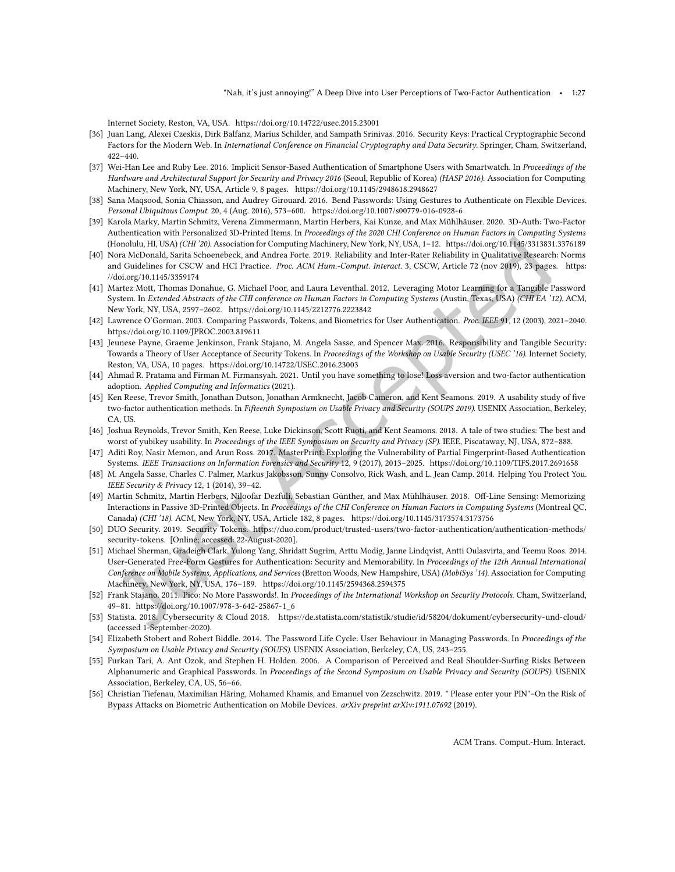Internet Society, Reston, VA, USA.<https://doi.org/10.14722/usec.2015.23001>

- <span id="page-26-8"></span>[36] Juan Lang, Alexei Czeskis, Dirk Balfanz, Marius Schilder, and Sampath Srinivas. 2016. Security Keys: Practical Cryptographic Second Factors for the Modern Web. In International Conference on Financial Cryptography and Data Security. Springer, Cham, Switzerland,  $422 - 440.$
- <span id="page-26-18"></span>[37] Wei-Han Lee and Ruby Lee. 2016. Implicit Sensor-Based Authentication of Smartphone Users with Smartwatch. In Proceedings of the Hardware and Architectural Support for Security and Privacy 2016 (Seoul, Republic of Korea) (HASP 2016). Association for Computing Machinery, New York, NY, USA, Article 9, 8 pages.<https://doi.org/10.1145/2948618.2948627>
- <span id="page-26-17"></span>[38] Sana Maqsood, Sonia Chiasson, and Audrey Girouard. 2016. Bend Passwords: Using Gestures to Authenticate on Flexible Devices. Personal Ubiquitous Comput. 20, 4 (Aug. 2016), 573-600.<https://doi.org/10.1007/s00779-016-0928-6>
- <span id="page-26-13"></span>[39] Karola Marky, Martin Schmitz, Verena Zimmermann, Martin Herbers, Kai Kunze, and Max Mühlhäuser. 2020. 3D-Auth: Two-Factor Authentication with Personalized 3D-Printed Items. In Proceedings of the 2020 CHI Conference on Human Factors in Computing Systems (Honolulu, HI, USA) (CHI '20). Association for Computing Machinery, New York, NY, USA, 1-12.<https://doi.org/10.1145/3313831.3376189>
- <span id="page-26-10"></span>[40] Nora McDonald, Sarita Schoenebeck, and Andrea Forte. 2019. Reliability and Inter-Rater Reliability in Qualitative Research: Norms and Guidelines for CSCW and HCI Practice. Proc. ACM Hum.-Comput. Interact. 3, CSCW, Article 72 (nov 2019), 23 pages. [https:](https://doi.org/10.1145/3359174) [//doi.org/10.1145/3359174](https://doi.org/10.1145/3359174)
- <span id="page-26-16"></span>[41] Martez Mott, Thomas Donahue, G. Michael Poor, and Laura Leventhal. 2012. Leveraging Motor Learning for a Tangible Password System. In Extended Abstracts of the CHI conference on Human Factors in Computing Systems (Austin, Texas, USA) (CHI EA '12). ACM, New York, NY, USA, 2597-2602.<https://doi.org/10.1145/2212776.2223842>
- <span id="page-26-0"></span>[42] Lawrence O'Gorman. 2003. Comparing Passwords, Tokens, and Biometrics for User Authentication. Proc. IEEE 91, 12 (2003), 2021-2040. <https://doi.org/10.1109/JPROC.2003.819611>
- <span id="page-26-20"></span>[43] Jeunese Payne, Graeme Jenkinson, Frank Stajano, M. Angela Sasse, and Spencer Max. 2016. Responsibility and Tangible Security: Towards a Theory of User Acceptance of Security Tokens. In Proceedings of the Workshop on Usable Security (USEC '16). Internet Society, Reston, VA, USA, 10 pages.<https://doi.org/10.14722/USEC.2016.23003>
- <span id="page-26-9"></span>[44] Ahmad R. Pratama and Firman M. Firmansyah. 2021. Until you have something to lose! Loss aversion and two-factor authentication adoption. Applied Computing and Informatics (2021).
- <span id="page-26-3"></span>[45] Ken Reese, Trevor Smith, Jonathan Dutson, Jonathan Armknecht, Jacob Cameron, and Kent Seamons. 2019. A usability study of ive two-factor authentication methods. In Fifteenth Symposium on Usable Privacy and Security (SOUPS 2019). USENIX Association, Berkeley, CA, US.
- <span id="page-26-4"></span>[46] Joshua Reynolds, Trevor Smith, Ken Reese, Luke Dickinson, Scott Ruoti, and Kent Seamons. 2018. A tale of two studies: The best and worst of yubikey usability. In Proceedings of the IEEE Symposium on Security and Privacy (SP). IEEE, Piscataway, NJ, USA, 872-888.
- <span id="page-26-2"></span>[47] Aditi Roy, Nasir Memon, and Arun Ross. 2017. MasterPrint: Exploring the Vulnerability of Partial Fingerprint-Based Authentication Systems. IEEE Transactions on Information Forensics and Security 12, 9 (2017), 2013-2025.<https://doi.org/10.1109/TIFS.2017.2691658>
- <span id="page-26-11"></span>[48] M. Angela Sasse, Charles C. Palmer, Markus Jakobsson, Sunny Consolvo, Rick Wash, and L. Jean Camp. 2014. Helping You Protect You. IEEE Security & Privacy 12, 1 (2014), 39-42.
- <span id="page-26-14"></span>[49] Martin Schmitz, Martin Herbers, Niloofar Dezfuli, Sebastian Günther, and Max Mühlhäuser. 2018. Of-Line Sensing: Memorizing Interactions in Passive 3D-Printed Objects. In Proceedings of the CHI Conference on Human Factors in Computing Systems (Montreal QC, Canada) (CHI '18). ACM, New York, NY, USA, Article 182, 8 pages.<https://doi.org/10.1145/3173574.3173756>
- <span id="page-26-5"></span>[50] DUO Security. 2019. Security Tokens. [https://duo.com/product/trusted-users/two-factor-authentication/authentication-methods/](https://duo.com/product/trusted-users/two-factor-authentication/authentication-methods/security-tokens) [security-tokens.](https://duo.com/product/trusted-users/two-factor-authentication/authentication-methods/security-tokens) [Online; accessed: 22-August-2020].
- <span id="page-26-15"></span>[51] Michael Sherman, Gradeigh Clark, Yulong Yang, Shridatt Sugrim, Arttu Modig, Janne Lindqvist, Antti Oulasvirta, and Teemu Roos. 2014. User-Generated Free-Form Gestures for Authentication: Security and Memorability. In Proceedings of the 12th Annual International Conference on Mobile Systems, Applications, and Services (Bretton Woods, New Hampshire, USA) (MobiSys '14). Association for Computing Machinery, New York, NY, USA, 176-189.<https://doi.org/10.1145/2594368.2594375>
- <span id="page-26-19"></span>[52] Frank Stajano. 2011. Pico: No More Passwords!. In Proceedings of the International Workshop on Security Protocols. Cham, Switzerland, 49-81. [https://doi.org/10.1007/978-3-642-25867-1\\_6](https://doi.org/10.1007/978-3-642-25867-1_6)
- <span id="page-26-6"></span>[53] Statista. 2018. Cybersecurity & Cloud 2018.<https://de.statista.com/statistik/studie/id/58204/dokument/cybersecurity-und-cloud/> (accessed 1-September-2020).
- <span id="page-26-7"></span>[54] Elizabeth Stobert and Robert Biddle. 2014. The Password Life Cycle: User Behaviour in Managing Passwords. In Proceedings of the Symposium on Usable Privacy and Security (SOUPS). USENIX Association, Berkeley, CA, US, 243-255.
- <span id="page-26-1"></span>[55] Furkan Tari, A. Ant Ozok, and Stephen H. Holden. 2006. A Comparison of Perceived and Real Shoulder-Surfing Risks Between Alphanumeric and Graphical Passwords. In Proceedings of the Second Symposium on Usable Privacy and Security (SOUPS). USENIX Association, Berkeley, CA, US, 56-66.
- <span id="page-26-12"></span>[56] Christian Tiefenau, Maximilian Häring, Mohamed Khamis, and Emanuel von Zezschwitz. 2019. " Please enter your PIN"-On the Risk of Bypass Attacks on Biometric Authentication on Mobile Devices. arXiv preprint arXiv:1911.07692 (2019).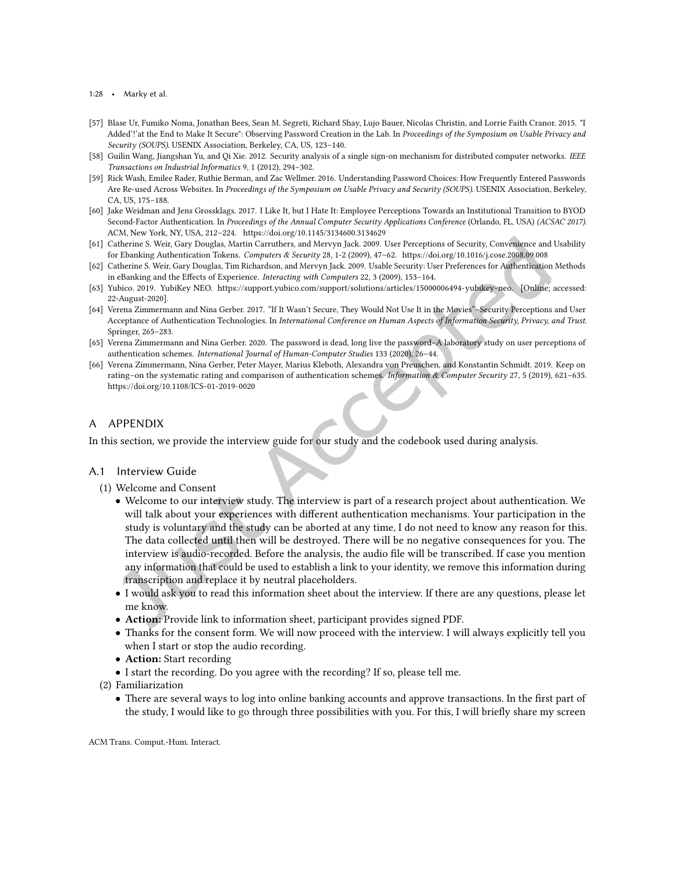- 1:28 Marky et al.
- <span id="page-27-2"></span>[57] Blase Ur, Fumiko Noma, Jonathan Bees, Sean M. Segreti, Richard Shay, Lujo Bauer, Nicolas Christin, and Lorrie Faith Cranor. 2015. "I Added'!'at the End to Make It Secure": Observing Password Creation in the Lab. In Proceedings of the Symposium on Usable Privacy and Security (SOUPS). USENIX Association, Berkeley, CA, US, 123-140.
- <span id="page-27-9"></span>[58] Guilin Wang, Jiangshan Yu, and Qi Xie. 2012. Security analysis of a single sign-on mechanism for distributed computer networks. IEEE Transactions on Industrial Informatics 9, 1 (2012), 294-302.
- <span id="page-27-3"></span>[59] Rick Wash, Emilee Rader, Ruthie Berman, and Zac Wellmer. 2016. Understanding Password Choices: How Frequently Entered Passwords Are Re-used Across Websites. In Proceedings of the Symposium on Usable Privacy and Security (SOUPS). USENIX Association, Berkeley, CA, US, 175-188.
- <span id="page-27-0"></span>[60] Jake Weidman and Jens Grossklags. 2017. I Like It, but I Hate It: Employee Perceptions Towards an Institutional Transition to BYOD Second-Factor Authentication. In Proceedings of the Annual Computer Security Applications Conference (Orlando, FL, USA) (ACSAC 2017). ACM, New York, NY, USA, 212-224.<https://doi.org/10.1145/3134600.3134629>
- <span id="page-27-1"></span>[61] Catherine S. Weir, Gary Douglas, Martin Carruthers, and Mervyn Jack. 2009. User Perceptions of Security, Convenience and Usability for Ebanking Authentication Tokens. Computers & Security 28, 1-2 (2009), 47-62.<https://doi.org/10.1016/j.cose.2008.09.008>
- <span id="page-27-6"></span>[62] Catherine S. Weir, Gary Douglas, Tim Richardson, and Mervyn Jack. 2009. Usable Security: User Preferences for Authentication Methods in eBanking and the Effects of Experience. Interacting with Computers 22, 3 (2009), 153-164.
- <span id="page-27-8"></span>[63] Yubico. 2019. YubiKey NEO. [https://support.yubico.com/support/solutions/articles/15000006494-yubikey-neo.](https://support.yubico.com/support/solutions/ articles/15000006494-yubikey-neo) [Online; accessed: 22-August-2020].
- <span id="page-27-10"></span>[64] Verena Zimmermann and Nina Gerber. 2017. "If It Wasn't Secure, They Would Not Use It in the Movies"-Security Perceptions and User Acceptance of Authentication Technologies. In International Conference on Human Aspects of Information Security, Privacy, and Trust. Springer, 265-283.
- <span id="page-27-5"></span>[65] Verena Zimmermann and Nina Gerber. 2020. The password is dead, long live the password-A laboratory study on user perceptions of authentication schemes. International Journal of Human-Computer Studies 133 (2020), 26-44.
- <span id="page-27-4"></span>[66] Verena Zimmermann, Nina Gerber, Peter Mayer, Marius Kleboth, Alexandra von Preuschen, and Konstantin Schmidt. 2019. Keep on rating-on the systematic rating and comparison of authentication schemes. Information & Computer Security 27, 5 (2019), 621-635. <https://doi.org/10.1108/ICS-01-2019-0020>

# A APPENDIX

In this section, we provide the interview guide for our study and the codebook used during analysis.

## <span id="page-27-7"></span>A.1 Interview Guide

- (1) Welcome and Consent
	- Welcome to our interview study. The interview is part of a research project about authentication. We will talk about your experiences with diferent authentication mechanisms. Your participation in the study is voluntary and the study can be aborted at any time, I do not need to know any reason for this. The data collected until then will be destroyed. There will be no negative consequences for you. The interview is audio-recorded. Before the analysis, the audio ile will be transcribed. If case you mention any information that could be used to establish a link to your identity, we remove this information during transcription and replace it by neutral placeholders.
	- I would ask you to read this information sheet about the interview. If there are any questions, please let me know.
	- Action: Provide link to information sheet, participant provides signed PDF.
	- Thanks for the consent form. We will now proceed with the interview. I will always explicitly tell you when I start or stop the audio recording.
	- Action: Start recording
	- I start the recording. Do you agree with the recording? If so, please tell me.
- (2) Familiarization
	- There are several ways to log into online banking accounts and approve transactions. In the first part of the study, I would like to go through three possibilities with you. For this, I will briely share my screen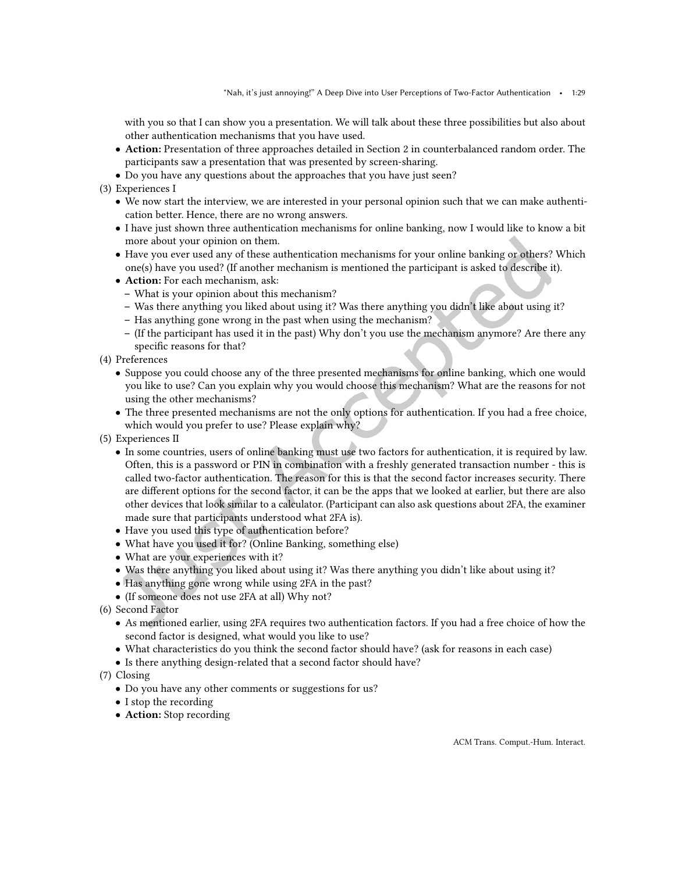with you so that I can show you a presentation. We will talk about these three possibilities but also about other authentication mechanisms that you have used.

- Action: Presentation of three approaches detailed in Section [2](#page-2-0) in counterbalanced random order. The participants saw a presentation that was presented by screen-sharing.
- Do you have any questions about the approaches that you have just seen?
- (3) Experiences I
	- We now start the interview, we are interested in your personal opinion such that we can make authentication better. Hence, there are no wrong answers.
	- I have just shown three authentication mechanisms for online banking, now I would like to know a bit more about your opinion on them.
	- Have you ever used any of these authentication mechanisms for your online banking or others? Which one(s) have you used? (If another mechanism is mentioned the participant is asked to describe it).
	- Action: For each mechanism, ask:
		- What is your opinion about this mechanism?
		- Was there anything you liked about using it? Was there anything you didn't like about using it?
		- Has anything gone wrong in the past when using the mechanism?
		- ś (If the participant has used it in the past) Why don't you use the mechanism anymore? Are there any specific reasons for that?
- (4) Preferences
	- Suppose you could choose any of the three presented mechanisms for online banking, which one would you like to use? Can you explain why you would choose this mechanism? What are the reasons for not using the other mechanisms?
	- The three presented mechanisms are not the only options for authentication. If you had a free choice, which would you prefer to use? Please explain why?
- (5) Experiences II
	- In some countries, users of online banking must use two factors for authentication, it is required by law. Often, this is a password or PIN in combination with a freshly generated transaction number - this is called two-factor authentication. The reason for this is that the second factor increases security. There are diferent options for the second factor, it can be the apps that we looked at earlier, but there are also other devices that look similar to a calculator. (Participant can also ask questions about 2FA, the examiner made sure that participants understood what 2FA is).
	- Have you used this type of authentication before?
	- What have you used it for? (Online Banking, something else)
	- What are your experiences with it?
	- Was there anything you liked about using it? Was there anything you didn't like about using it?
	- Has anything gone wrong while using 2FA in the past?
	- (If someone does not use 2FA at all) Why not?
- (6) Second Factor
	- As mentioned earlier, using 2FA requires two authentication factors. If you had a free choice of how the second factor is designed, what would you like to use?
	- What characteristics do you think the second factor should have? (ask for reasons in each case)
	- Is there anything design-related that a second factor should have?
- (7) Closing
	- Do you have any other comments or suggestions for us?
	- I stop the recording
	- Action: Stop recording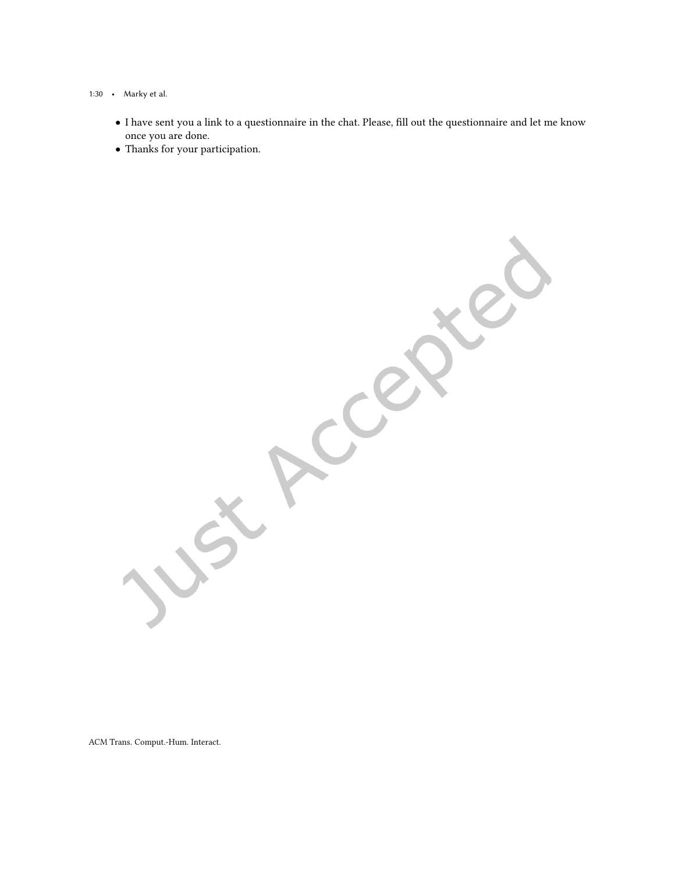## 1:30 • Marky et al.

• I have sent you a link to a questionnaire in the chat. Please, ill out the questionnaire and let me know once you are done.

CCRR

• Thanks for your participation.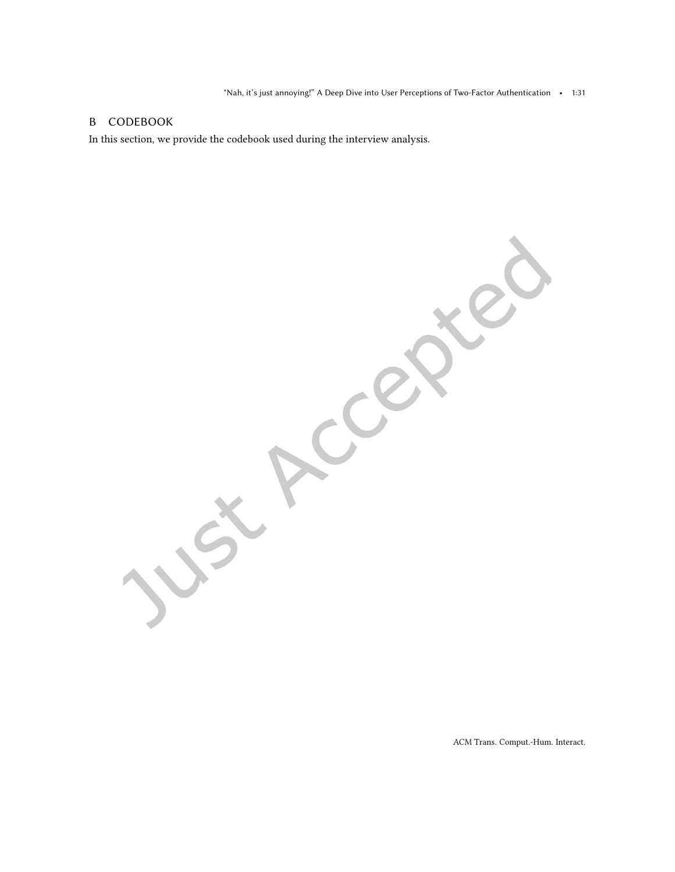# <span id="page-30-0"></span>B CODEBOOK

In this section, we provide the codebook used during the interview analysis.

ACCER